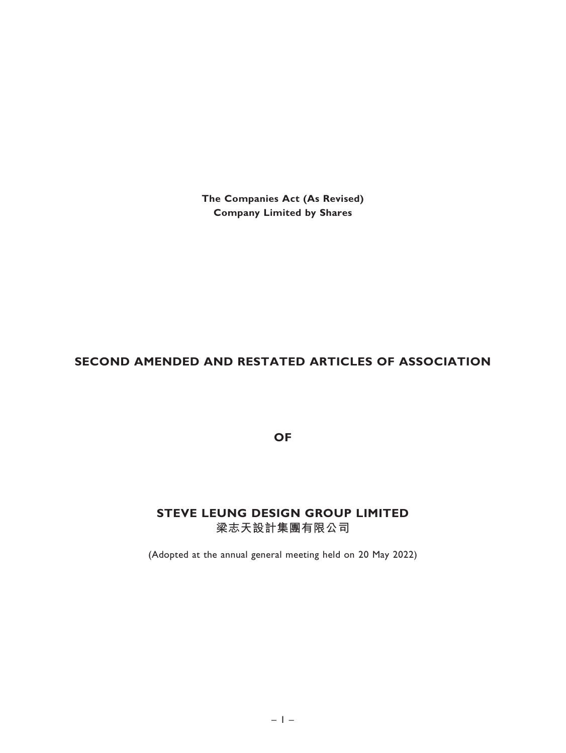The Companies Act (As Revised) Company Limited by Shares

# SECOND AMENDED AND RESTATED ARTICLES OF ASSOCIATION

OF

# STEVE LEUNG DESIGN GROUP LIMITED 梁志天設計集團有限公司

(Adopted at the annual general meeting held on 20 May 2022)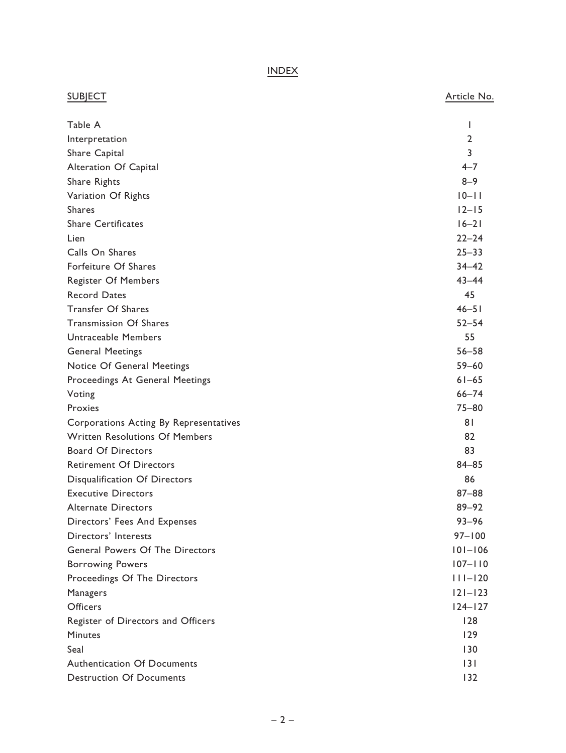INDEX

| <b>SUBJECT</b>                         | Article No.    |
|----------------------------------------|----------------|
| Table A                                | L              |
| Interpretation                         | 2              |
| Share Capital                          | 3              |
| Alteration Of Capital                  | $4 - 7$        |
| Share Rights                           | $8 - 9$        |
| Variation Of Rights                    | $10 - 11$      |
| <b>Shares</b>                          | $12-15$        |
| <b>Share Certificates</b>              | $16-21$        |
| Lien                                   | $22 - 24$      |
| Calls On Shares                        | $25 - 33$      |
| Forfeiture Of Shares                   | $34 - 42$      |
| <b>Register Of Members</b>             | $43 - 44$      |
| <b>Record Dates</b>                    | 45             |
| Transfer Of Shares                     | $46 - 51$      |
| <b>Transmission Of Shares</b>          | $52 - 54$      |
| <b>Untraceable Members</b>             | 55             |
| <b>General Meetings</b>                | $56 - 58$      |
| Notice Of General Meetings             | $59 - 60$      |
| Proceedings At General Meetings        | $61 - 65$      |
| Voting                                 | $66 - 74$      |
| Proxies                                | $75 - 80$      |
| Corporations Acting By Representatives | 81             |
| <b>Written Resolutions Of Members</b>  | 82             |
| <b>Board Of Directors</b>              | 83             |
| <b>Retirement Of Directors</b>         | $84 - 85$      |
| Disqualification Of Directors          | 86             |
| <b>Executive Directors</b>             | $87 - 88$      |
| <b>Alternate Directors</b>             | $89 - 92$      |
| Directors' Fees And Expenses           | $93 - 96$      |
| Directors' Interests                   | $97 - 100$     |
| General Powers Of The Directors        | $101 - 106$    |
| <b>Borrowing Powers</b>                | $107 - 110$    |
| Proceedings Of The Directors           | $ $   $ -$  20 |
| Managers                               | $121 - 123$    |
| <b>Officers</b>                        | $124 - 127$    |
| Register of Directors and Officers     | 128            |
| <b>Minutes</b>                         | 129            |
| Seal                                   | 130            |
| <b>Authentication Of Documents</b>     | 3              |
| <b>Destruction Of Documents</b>        | 132            |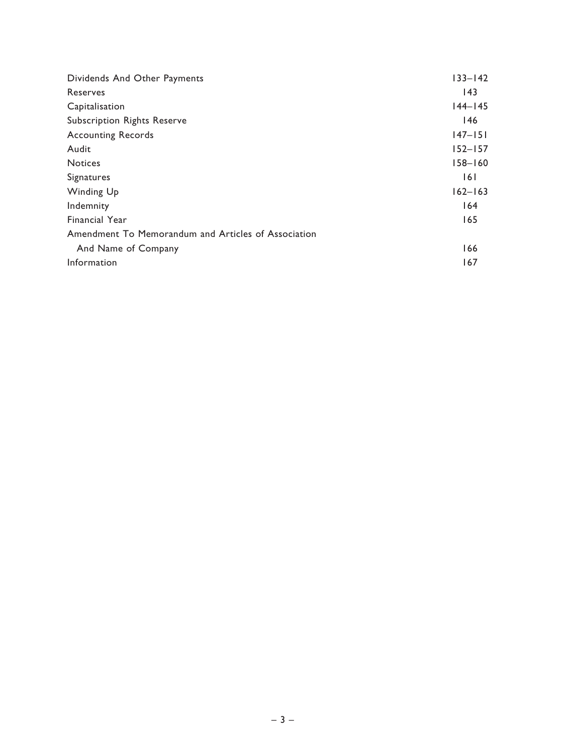| Dividends And Other Payments                        | $133 - 142$ |
|-----------------------------------------------------|-------------|
| Reserves                                            | 43          |
| Capitalisation                                      | $144 - 145$ |
| Subscription Rights Reserve                         | 146         |
| <b>Accounting Records</b>                           | $147 - 151$ |
| Audit                                               | $152 - 157$ |
| <b>Notices</b>                                      | $158 - 160$ |
| Signatures                                          | 161         |
| Winding Up                                          | $162 - 163$ |
| Indemnity                                           | 164         |
| <b>Financial Year</b>                               | 165         |
| Amendment To Memorandum and Articles of Association |             |
| And Name of Company                                 | 166         |
| Information                                         | 167         |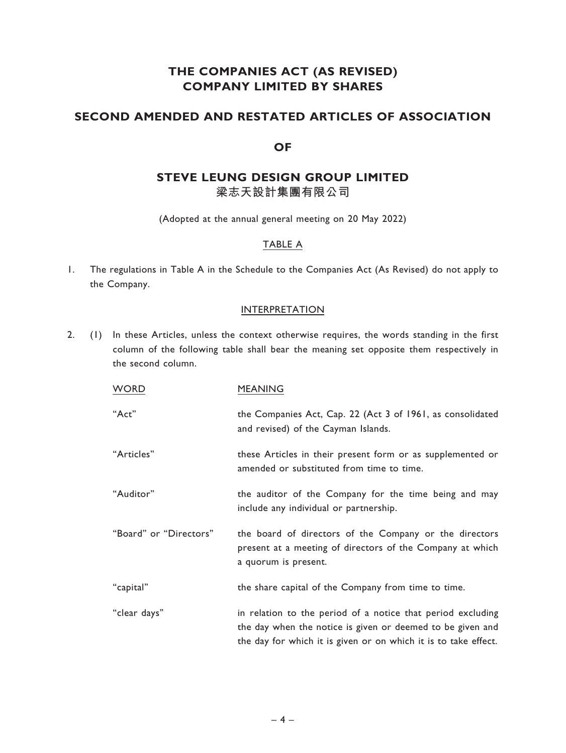# THE COMPANIES ACT (AS REVISED) COMPANY LIMITED BY SHARES

## SECOND AMENDED AND RESTATED ARTICLES OF ASSOCIATION

## **OF**

# STEVE LEUNG DESIGN GROUP LIMITED 梁志天設計集團有限公司

(Adopted at the annual general meeting on 20 May 2022)

## TABLE A

1. The regulations in Table A in the Schedule to the Companies Act (As Revised) do not apply to the Company.

## **INTERPRETATION**

2. (1) In these Articles, unless the context otherwise requires, the words standing in the first column of the following table shall bear the meaning set opposite them respectively in the second column.

| <b>WORD</b>            | <b>MEANING</b>                                                                                                                                                                               |
|------------------------|----------------------------------------------------------------------------------------------------------------------------------------------------------------------------------------------|
| "Act"                  | the Companies Act, Cap. 22 (Act 3 of 1961, as consolidated<br>and revised) of the Cayman Islands.                                                                                            |
| "Articles"             | these Articles in their present form or as supplemented or<br>amended or substituted from time to time.                                                                                      |
| "Auditor"              | the auditor of the Company for the time being and may<br>include any individual or partnership.                                                                                              |
| "Board" or "Directors" | the board of directors of the Company or the directors<br>present at a meeting of directors of the Company at which<br>a quorum is present.                                                  |
| "capital"              | the share capital of the Company from time to time.                                                                                                                                          |
| "clear days"           | in relation to the period of a notice that period excluding<br>the day when the notice is given or deemed to be given and<br>the day for which it is given or on which it is to take effect. |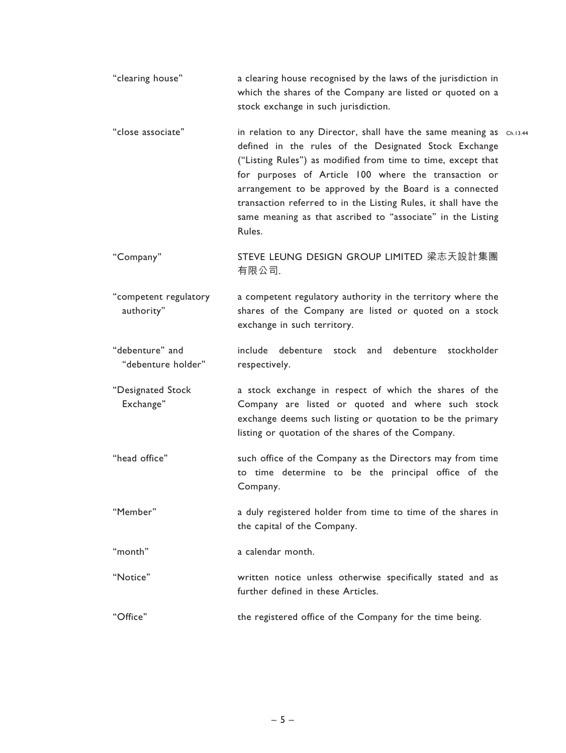''clearing house'' a clearing house recognised by the laws of the jurisdiction in which the shares of the Company are listed or quoted on a stock exchange in such jurisdiction.

"close associate" in relation to any Director, shall have the same meaning as  $\,$  ch.13.44  $\,$ defined in the rules of the Designated Stock Exchange (''Listing Rules'') as modified from time to time, except that for purposes of Article 100 where the transaction or arrangement to be approved by the Board is a connected transaction referred to in the Listing Rules, it shall have the same meaning as that ascribed to "associate" in the Listing Rules.

''Company'' STEVE LEUNG DESIGN GROUP LIMITED 梁志天設計集團 有限公司.

''competent regulatory authority'' a competent regulatory authority in the territory where the shares of the Company are listed or quoted on a stock exchange in such territory.

''debenture'' and ''debenture holder'' include debenture stock and debenture stockholder respectively.

''Designated Stock Exchange'' a stock exchange in respect of which the shares of the Company are listed or quoted and where such stock exchange deems such listing or quotation to be the primary listing or quotation of the shares of the Company.

- ''head office'' such office of the Company as the Directors may from time to time determine to be the principal office of the Company.
- ''Member'' a duly registered holder from time to time of the shares in the capital of the Company.

''month'' a calendar month.

- ''Notice'' written notice unless otherwise specifically stated and as further defined in these Articles.
- ''Office'' the registered office of the Company for the time being.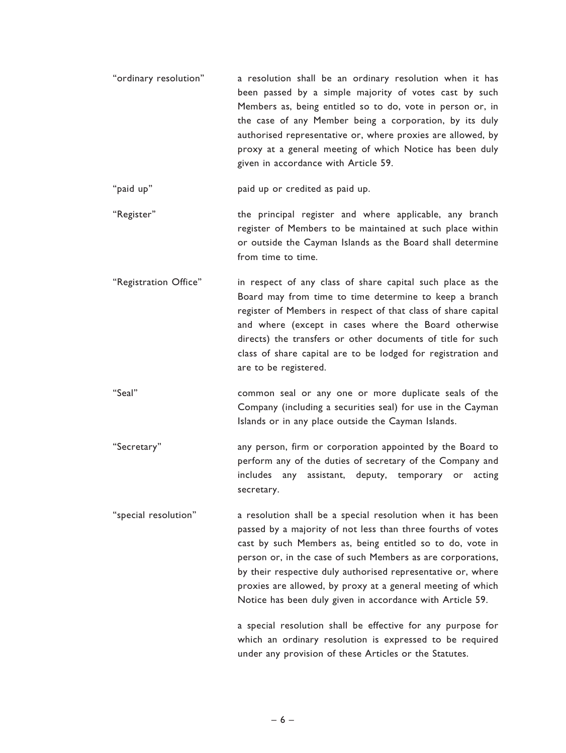''ordinary resolution'' a resolution shall be an ordinary resolution when it has been passed by a simple majority of votes cast by such Members as, being entitled so to do, vote in person or, in the case of any Member being a corporation, by its duly authorised representative or, where proxies are allowed, by proxy at a general meeting of which Notice has been duly given in accordance with Article 59.

"paid up" paid up or credited as paid up.

- "Register" **the principal register and where applicable**, any branch register of Members to be maintained at such place within or outside the Cayman Islands as the Board shall determine from time to time.
- "Registration Office" in respect of any class of share capital such place as the Board may from time to time determine to keep a branch register of Members in respect of that class of share capital and where (except in cases where the Board otherwise directs) the transfers or other documents of title for such class of share capital are to be lodged for registration and are to be registered.
- "Seal" common seal or any one or more duplicate seals of the Company (including a securities seal) for use in the Cayman Islands or in any place outside the Cayman Islands.
- ''Secretary'' any person, firm or corporation appointed by the Board to perform any of the duties of secretary of the Company and includes any assistant, deputy, temporary or acting secretary.

''special resolution'' a resolution shall be a special resolution when it has been passed by a majority of not less than three fourths of votes cast by such Members as, being entitled so to do, vote in person or, in the case of such Members as are corporations, by their respective duly authorised representative or, where proxies are allowed, by proxy at a general meeting of which Notice has been duly given in accordance with Article 59.

> a special resolution shall be effective for any purpose for which an ordinary resolution is expressed to be required under any provision of these Articles or the Statutes.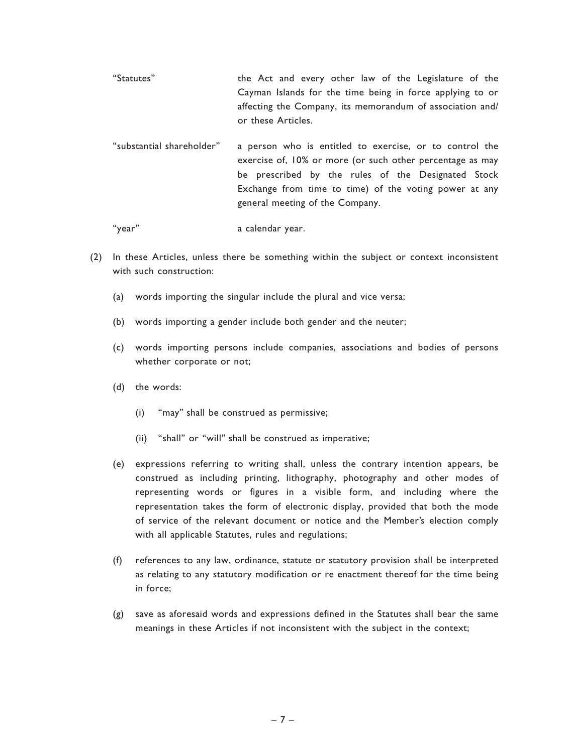- ''Statutes'' the Act and every other law of the Legislature of the Cayman Islands for the time being in force applying to or affecting the Company, its memorandum of association and/ or these Articles.
- ''substantial shareholder'' a person who is entitled to exercise, or to control the exercise of, 10% or more (or such other percentage as may be prescribed by the rules of the Designated Stock Exchange from time to time) of the voting power at any general meeting of the Company.

"year" a calendar year.

- (2) In these Articles, unless there be something within the subject or context inconsistent with such construction:
	- (a) words importing the singular include the plural and vice versa;
	- (b) words importing a gender include both gender and the neuter;
	- (c) words importing persons include companies, associations and bodies of persons whether corporate or not;
	- (d) the words:
		- (i) ''may'' shall be construed as permissive;
		- (ii) ''shall'' or ''will'' shall be construed as imperative;
	- (e) expressions referring to writing shall, unless the contrary intention appears, be construed as including printing, lithography, photography and other modes of representing words or figures in a visible form, and including where the representation takes the form of electronic display, provided that both the mode of service of the relevant document or notice and the Member's election comply with all applicable Statutes, rules and regulations;
	- (f) references to any law, ordinance, statute or statutory provision shall be interpreted as relating to any statutory modification or re enactment thereof for the time being in force;
	- (g) save as aforesaid words and expressions defined in the Statutes shall bear the same meanings in these Articles if not inconsistent with the subject in the context;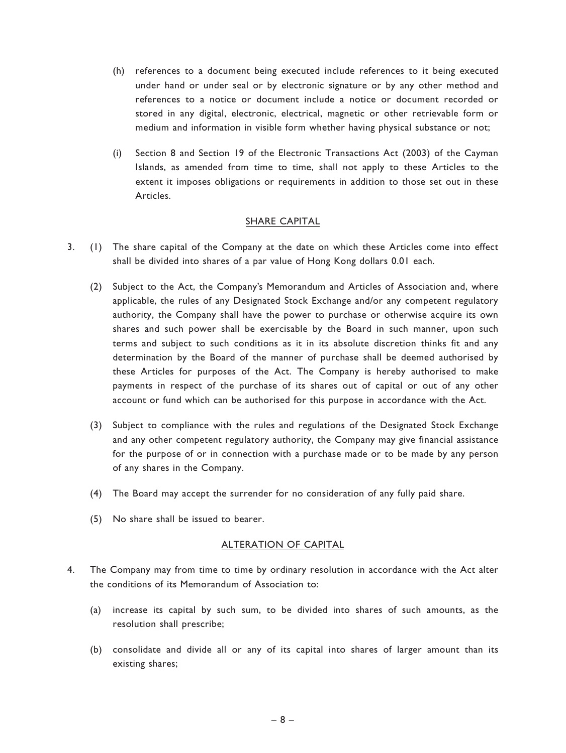- (h) references to a document being executed include references to it being executed under hand or under seal or by electronic signature or by any other method and references to a notice or document include a notice or document recorded or stored in any digital, electronic, electrical, magnetic or other retrievable form or medium and information in visible form whether having physical substance or not;
- (i) Section 8 and Section 19 of the Electronic Transactions Act (2003) of the Cayman Islands, as amended from time to time, shall not apply to these Articles to the extent it imposes obligations or requirements in addition to those set out in these Articles.

### SHARE CAPITAL

- 3. (1) The share capital of the Company at the date on which these Articles come into effect shall be divided into shares of a par value of Hong Kong dollars 0.01 each.
	- (2) Subject to the Act, the Company's Memorandum and Articles of Association and, where applicable, the rules of any Designated Stock Exchange and/or any competent regulatory authority, the Company shall have the power to purchase or otherwise acquire its own shares and such power shall be exercisable by the Board in such manner, upon such terms and subject to such conditions as it in its absolute discretion thinks fit and any determination by the Board of the manner of purchase shall be deemed authorised by these Articles for purposes of the Act. The Company is hereby authorised to make payments in respect of the purchase of its shares out of capital or out of any other account or fund which can be authorised for this purpose in accordance with the Act.
	- (3) Subject to compliance with the rules and regulations of the Designated Stock Exchange and any other competent regulatory authority, the Company may give financial assistance for the purpose of or in connection with a purchase made or to be made by any person of any shares in the Company.
	- (4) The Board may accept the surrender for no consideration of any fully paid share.
	- (5) No share shall be issued to bearer.

### ALTERATION OF CAPITAL

- 4. The Company may from time to time by ordinary resolution in accordance with the Act alter the conditions of its Memorandum of Association to:
	- (a) increase its capital by such sum, to be divided into shares of such amounts, as the resolution shall prescribe;
	- (b) consolidate and divide all or any of its capital into shares of larger amount than its existing shares;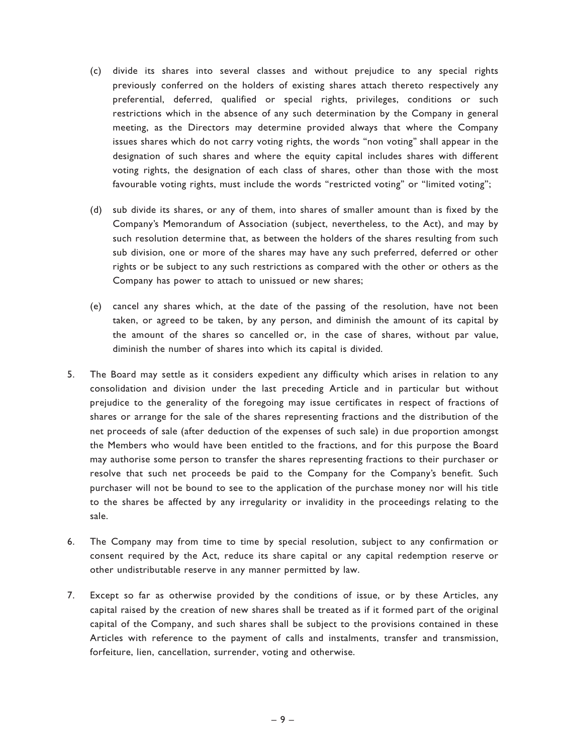- (c) divide its shares into several classes and without prejudice to any special rights previously conferred on the holders of existing shares attach thereto respectively any preferential, deferred, qualified or special rights, privileges, conditions or such restrictions which in the absence of any such determination by the Company in general meeting, as the Directors may determine provided always that where the Company issues shares which do not carry voting rights, the words ''non voting'' shall appear in the designation of such shares and where the equity capital includes shares with different voting rights, the designation of each class of shares, other than those with the most favourable voting rights, must include the words "restricted voting" or "limited voting";
- (d) sub divide its shares, or any of them, into shares of smaller amount than is fixed by the Company's Memorandum of Association (subject, nevertheless, to the Act), and may by such resolution determine that, as between the holders of the shares resulting from such sub division, one or more of the shares may have any such preferred, deferred or other rights or be subject to any such restrictions as compared with the other or others as the Company has power to attach to unissued or new shares;
- (e) cancel any shares which, at the date of the passing of the resolution, have not been taken, or agreed to be taken, by any person, and diminish the amount of its capital by the amount of the shares so cancelled or, in the case of shares, without par value, diminish the number of shares into which its capital is divided.
- 5. The Board may settle as it considers expedient any difficulty which arises in relation to any consolidation and division under the last preceding Article and in particular but without prejudice to the generality of the foregoing may issue certificates in respect of fractions of shares or arrange for the sale of the shares representing fractions and the distribution of the net proceeds of sale (after deduction of the expenses of such sale) in due proportion amongst the Members who would have been entitled to the fractions, and for this purpose the Board may authorise some person to transfer the shares representing fractions to their purchaser or resolve that such net proceeds be paid to the Company for the Company's benefit. Such purchaser will not be bound to see to the application of the purchase money nor will his title to the shares be affected by any irregularity or invalidity in the proceedings relating to the sale.
- 6. The Company may from time to time by special resolution, subject to any confirmation or consent required by the Act, reduce its share capital or any capital redemption reserve or other undistributable reserve in any manner permitted by law.
- 7. Except so far as otherwise provided by the conditions of issue, or by these Articles, any capital raised by the creation of new shares shall be treated as if it formed part of the original capital of the Company, and such shares shall be subject to the provisions contained in these Articles with reference to the payment of calls and instalments, transfer and transmission, forfeiture, lien, cancellation, surrender, voting and otherwise.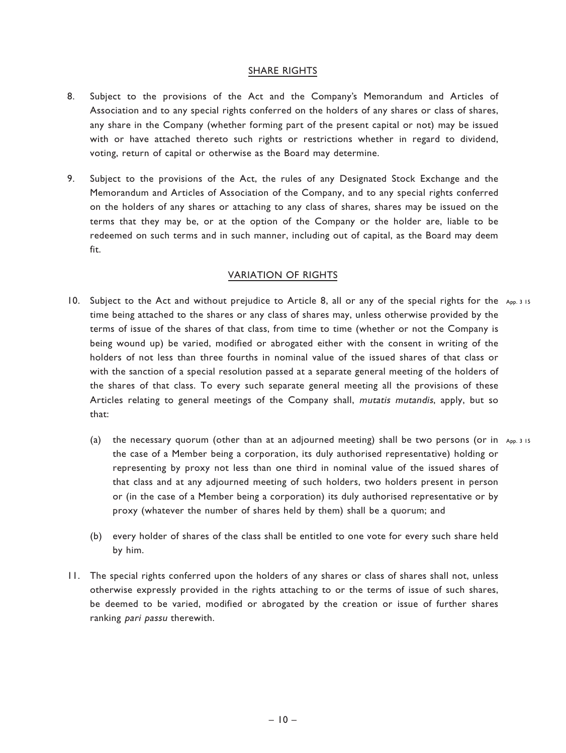## SHARE RIGHTS

- 8. Subject to the provisions of the Act and the Company's Memorandum and Articles of Association and to any special rights conferred on the holders of any shares or class of shares, any share in the Company (whether forming part of the present capital or not) may be issued with or have attached thereto such rights or restrictions whether in regard to dividend, voting, return of capital or otherwise as the Board may determine.
- 9. Subject to the provisions of the Act, the rules of any Designated Stock Exchange and the Memorandum and Articles of Association of the Company, and to any special rights conferred on the holders of any shares or attaching to any class of shares, shares may be issued on the terms that they may be, or at the option of the Company or the holder are, liable to be redeemed on such terms and in such manner, including out of capital, as the Board may deem fit.

## VARIATION OF RIGHTS

- 10. Subject to the Act and without prejudice to Article 8, all or any of the special rights for the App. 3 15 time being attached to the shares or any class of shares may, unless otherwise provided by the terms of issue of the shares of that class, from time to time (whether or not the Company is being wound up) be varied, modified or abrogated either with the consent in writing of the holders of not less than three fourths in nominal value of the issued shares of that class or with the sanction of a special resolution passed at a separate general meeting of the holders of the shares of that class. To every such separate general meeting all the provisions of these Articles relating to general meetings of the Company shall, mutatis mutandis, apply, but so that:
	- (a) the necessary quorum (other than at an adjourned meeting) shall be two persons (or in App. 3 15 the case of a Member being a corporation, its duly authorised representative) holding or representing by proxy not less than one third in nominal value of the issued shares of that class and at any adjourned meeting of such holders, two holders present in person or (in the case of a Member being a corporation) its duly authorised representative or by proxy (whatever the number of shares held by them) shall be a quorum; and
	- (b) every holder of shares of the class shall be entitled to one vote for every such share held by him.
- 11. The special rights conferred upon the holders of any shares or class of shares shall not, unless otherwise expressly provided in the rights attaching to or the terms of issue of such shares, be deemed to be varied, modified or abrogated by the creation or issue of further shares ranking pari passu therewith.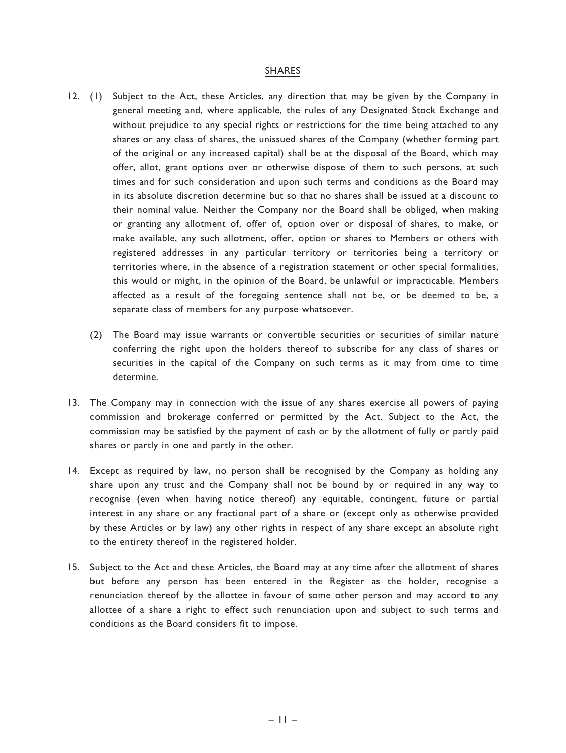#### SHARES

- 12. (1) Subject to the Act, these Articles, any direction that may be given by the Company in general meeting and, where applicable, the rules of any Designated Stock Exchange and without prejudice to any special rights or restrictions for the time being attached to any shares or any class of shares, the unissued shares of the Company (whether forming part of the original or any increased capital) shall be at the disposal of the Board, which may offer, allot, grant options over or otherwise dispose of them to such persons, at such times and for such consideration and upon such terms and conditions as the Board may in its absolute discretion determine but so that no shares shall be issued at a discount to their nominal value. Neither the Company nor the Board shall be obliged, when making or granting any allotment of, offer of, option over or disposal of shares, to make, or make available, any such allotment, offer, option or shares to Members or others with registered addresses in any particular territory or territories being a territory or territories where, in the absence of a registration statement or other special formalities, this would or might, in the opinion of the Board, be unlawful or impracticable. Members affected as a result of the foregoing sentence shall not be, or be deemed to be, a separate class of members for any purpose whatsoever.
	- (2) The Board may issue warrants or convertible securities or securities of similar nature conferring the right upon the holders thereof to subscribe for any class of shares or securities in the capital of the Company on such terms as it may from time to time determine.
- 13. The Company may in connection with the issue of any shares exercise all powers of paying commission and brokerage conferred or permitted by the Act. Subject to the Act, the commission may be satisfied by the payment of cash or by the allotment of fully or partly paid shares or partly in one and partly in the other.
- 14. Except as required by law, no person shall be recognised by the Company as holding any share upon any trust and the Company shall not be bound by or required in any way to recognise (even when having notice thereof) any equitable, contingent, future or partial interest in any share or any fractional part of a share or (except only as otherwise provided by these Articles or by law) any other rights in respect of any share except an absolute right to the entirety thereof in the registered holder.
- 15. Subject to the Act and these Articles, the Board may at any time after the allotment of shares but before any person has been entered in the Register as the holder, recognise a renunciation thereof by the allottee in favour of some other person and may accord to any allottee of a share a right to effect such renunciation upon and subject to such terms and conditions as the Board considers fit to impose.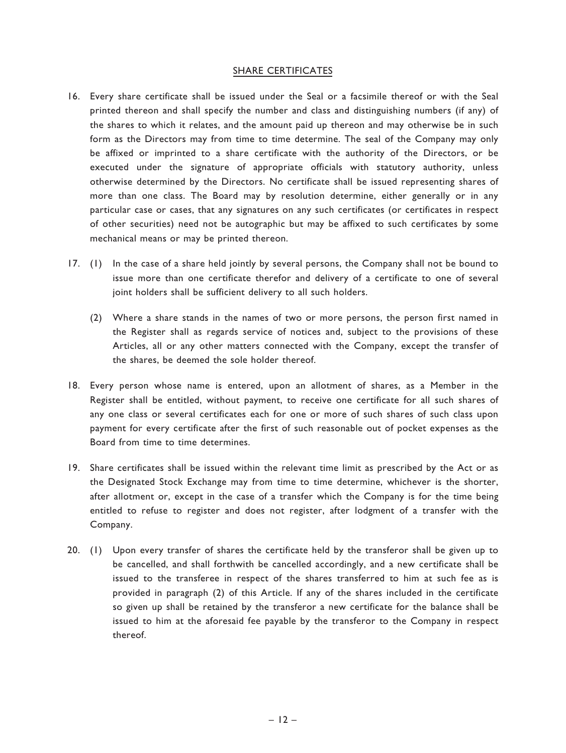## SHARE CERTIFICATES

- 16. Every share certificate shall be issued under the Seal or a facsimile thereof or with the Seal printed thereon and shall specify the number and class and distinguishing numbers (if any) of the shares to which it relates, and the amount paid up thereon and may otherwise be in such form as the Directors may from time to time determine. The seal of the Company may only be affixed or imprinted to a share certificate with the authority of the Directors, or be executed under the signature of appropriate officials with statutory authority, unless otherwise determined by the Directors. No certificate shall be issued representing shares of more than one class. The Board may by resolution determine, either generally or in any particular case or cases, that any signatures on any such certificates (or certificates in respect of other securities) need not be autographic but may be affixed to such certificates by some mechanical means or may be printed thereon.
- 17. (1) In the case of a share held jointly by several persons, the Company shall not be bound to issue more than one certificate therefor and delivery of a certificate to one of several joint holders shall be sufficient delivery to all such holders.
	- (2) Where a share stands in the names of two or more persons, the person first named in the Register shall as regards service of notices and, subject to the provisions of these Articles, all or any other matters connected with the Company, except the transfer of the shares, be deemed the sole holder thereof.
- 18. Every person whose name is entered, upon an allotment of shares, as a Member in the Register shall be entitled, without payment, to receive one certificate for all such shares of any one class or several certificates each for one or more of such shares of such class upon payment for every certificate after the first of such reasonable out of pocket expenses as the Board from time to time determines.
- 19. Share certificates shall be issued within the relevant time limit as prescribed by the Act or as the Designated Stock Exchange may from time to time determine, whichever is the shorter, after allotment or, except in the case of a transfer which the Company is for the time being entitled to refuse to register and does not register, after lodgment of a transfer with the Company.
- 20. (1) Upon every transfer of shares the certificate held by the transferor shall be given up to be cancelled, and shall forthwith be cancelled accordingly, and a new certificate shall be issued to the transferee in respect of the shares transferred to him at such fee as is provided in paragraph (2) of this Article. If any of the shares included in the certificate so given up shall be retained by the transferor a new certificate for the balance shall be issued to him at the aforesaid fee payable by the transferor to the Company in respect thereof.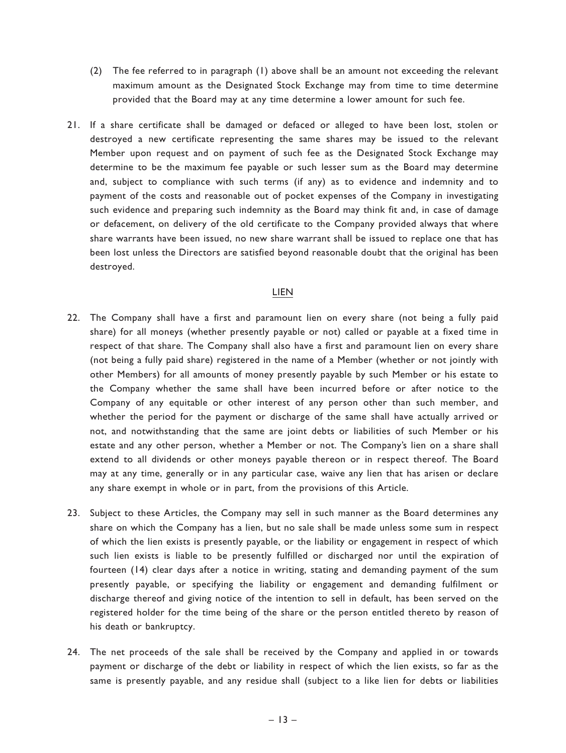- (2) The fee referred to in paragraph (1) above shall be an amount not exceeding the relevant maximum amount as the Designated Stock Exchange may from time to time determine provided that the Board may at any time determine a lower amount for such fee.
- 21. If a share certificate shall be damaged or defaced or alleged to have been lost, stolen or destroyed a new certificate representing the same shares may be issued to the relevant Member upon request and on payment of such fee as the Designated Stock Exchange may determine to be the maximum fee payable or such lesser sum as the Board may determine and, subject to compliance with such terms (if any) as to evidence and indemnity and to payment of the costs and reasonable out of pocket expenses of the Company in investigating such evidence and preparing such indemnity as the Board may think fit and, in case of damage or defacement, on delivery of the old certificate to the Company provided always that where share warrants have been issued, no new share warrant shall be issued to replace one that has been lost unless the Directors are satisfied beyond reasonable doubt that the original has been destroyed.

### LIEN

- 22. The Company shall have a first and paramount lien on every share (not being a fully paid share) for all moneys (whether presently payable or not) called or payable at a fixed time in respect of that share. The Company shall also have a first and paramount lien on every share (not being a fully paid share) registered in the name of a Member (whether or not jointly with other Members) for all amounts of money presently payable by such Member or his estate to the Company whether the same shall have been incurred before or after notice to the Company of any equitable or other interest of any person other than such member, and whether the period for the payment or discharge of the same shall have actually arrived or not, and notwithstanding that the same are joint debts or liabilities of such Member or his estate and any other person, whether a Member or not. The Company's lien on a share shall extend to all dividends or other moneys payable thereon or in respect thereof. The Board may at any time, generally or in any particular case, waive any lien that has arisen or declare any share exempt in whole or in part, from the provisions of this Article.
- 23. Subject to these Articles, the Company may sell in such manner as the Board determines any share on which the Company has a lien, but no sale shall be made unless some sum in respect of which the lien exists is presently payable, or the liability or engagement in respect of which such lien exists is liable to be presently fulfilled or discharged nor until the expiration of fourteen (14) clear days after a notice in writing, stating and demanding payment of the sum presently payable, or specifying the liability or engagement and demanding fulfilment or discharge thereof and giving notice of the intention to sell in default, has been served on the registered holder for the time being of the share or the person entitled thereto by reason of his death or bankruptcy.
- 24. The net proceeds of the sale shall be received by the Company and applied in or towards payment or discharge of the debt or liability in respect of which the lien exists, so far as the same is presently payable, and any residue shall (subject to a like lien for debts or liabilities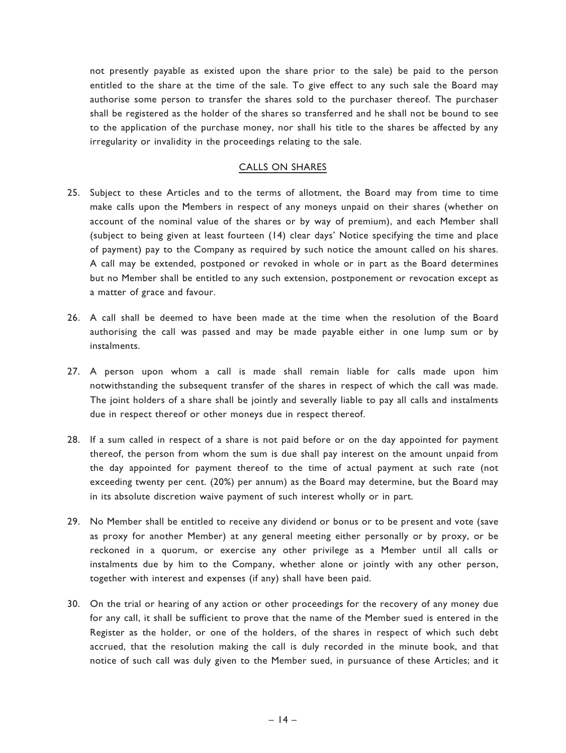not presently payable as existed upon the share prior to the sale) be paid to the person entitled to the share at the time of the sale. To give effect to any such sale the Board may authorise some person to transfer the shares sold to the purchaser thereof. The purchaser shall be registered as the holder of the shares so transferred and he shall not be bound to see to the application of the purchase money, nor shall his title to the shares be affected by any irregularity or invalidity in the proceedings relating to the sale.

## CALLS ON SHARES

- 25. Subject to these Articles and to the terms of allotment, the Board may from time to time make calls upon the Members in respect of any moneys unpaid on their shares (whether on account of the nominal value of the shares or by way of premium), and each Member shall (subject to being given at least fourteen (14) clear days' Notice specifying the time and place of payment) pay to the Company as required by such notice the amount called on his shares. A call may be extended, postponed or revoked in whole or in part as the Board determines but no Member shall be entitled to any such extension, postponement or revocation except as a matter of grace and favour.
- 26. A call shall be deemed to have been made at the time when the resolution of the Board authorising the call was passed and may be made payable either in one lump sum or by instalments.
- 27. A person upon whom a call is made shall remain liable for calls made upon him notwithstanding the subsequent transfer of the shares in respect of which the call was made. The joint holders of a share shall be jointly and severally liable to pay all calls and instalments due in respect thereof or other moneys due in respect thereof.
- 28. If a sum called in respect of a share is not paid before or on the day appointed for payment thereof, the person from whom the sum is due shall pay interest on the amount unpaid from the day appointed for payment thereof to the time of actual payment at such rate (not exceeding twenty per cent. (20%) per annum) as the Board may determine, but the Board may in its absolute discretion waive payment of such interest wholly or in part.
- 29. No Member shall be entitled to receive any dividend or bonus or to be present and vote (save as proxy for another Member) at any general meeting either personally or by proxy, or be reckoned in a quorum, or exercise any other privilege as a Member until all calls or instalments due by him to the Company, whether alone or jointly with any other person, together with interest and expenses (if any) shall have been paid.
- 30. On the trial or hearing of any action or other proceedings for the recovery of any money due for any call, it shall be sufficient to prove that the name of the Member sued is entered in the Register as the holder, or one of the holders, of the shares in respect of which such debt accrued, that the resolution making the call is duly recorded in the minute book, and that notice of such call was duly given to the Member sued, in pursuance of these Articles; and it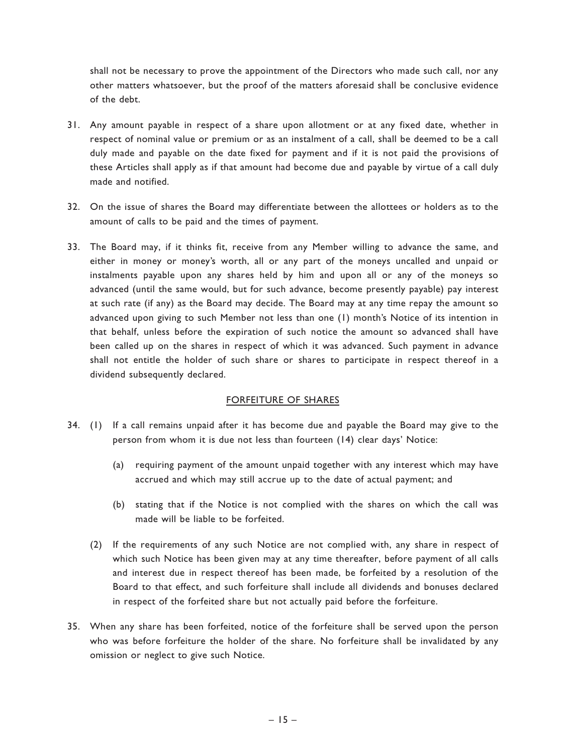shall not be necessary to prove the appointment of the Directors who made such call, nor any other matters whatsoever, but the proof of the matters aforesaid shall be conclusive evidence of the debt.

- 31. Any amount payable in respect of a share upon allotment or at any fixed date, whether in respect of nominal value or premium or as an instalment of a call, shall be deemed to be a call duly made and payable on the date fixed for payment and if it is not paid the provisions of these Articles shall apply as if that amount had become due and payable by virtue of a call duly made and notified.
- 32. On the issue of shares the Board may differentiate between the allottees or holders as to the amount of calls to be paid and the times of payment.
- 33. The Board may, if it thinks fit, receive from any Member willing to advance the same, and either in money or money's worth, all or any part of the moneys uncalled and unpaid or instalments payable upon any shares held by him and upon all or any of the moneys so advanced (until the same would, but for such advance, become presently payable) pay interest at such rate (if any) as the Board may decide. The Board may at any time repay the amount so advanced upon giving to such Member not less than one (1) month's Notice of its intention in that behalf, unless before the expiration of such notice the amount so advanced shall have been called up on the shares in respect of which it was advanced. Such payment in advance shall not entitle the holder of such share or shares to participate in respect thereof in a dividend subsequently declared.

## FORFEITURE OF SHARES

- 34. (1) If a call remains unpaid after it has become due and payable the Board may give to the person from whom it is due not less than fourteen (14) clear days' Notice:
	- (a) requiring payment of the amount unpaid together with any interest which may have accrued and which may still accrue up to the date of actual payment; and
	- (b) stating that if the Notice is not complied with the shares on which the call was made will be liable to be forfeited.
	- (2) If the requirements of any such Notice are not complied with, any share in respect of which such Notice has been given may at any time thereafter, before payment of all calls and interest due in respect thereof has been made, be forfeited by a resolution of the Board to that effect, and such forfeiture shall include all dividends and bonuses declared in respect of the forfeited share but not actually paid before the forfeiture.
- 35. When any share has been forfeited, notice of the forfeiture shall be served upon the person who was before forfeiture the holder of the share. No forfeiture shall be invalidated by any omission or neglect to give such Notice.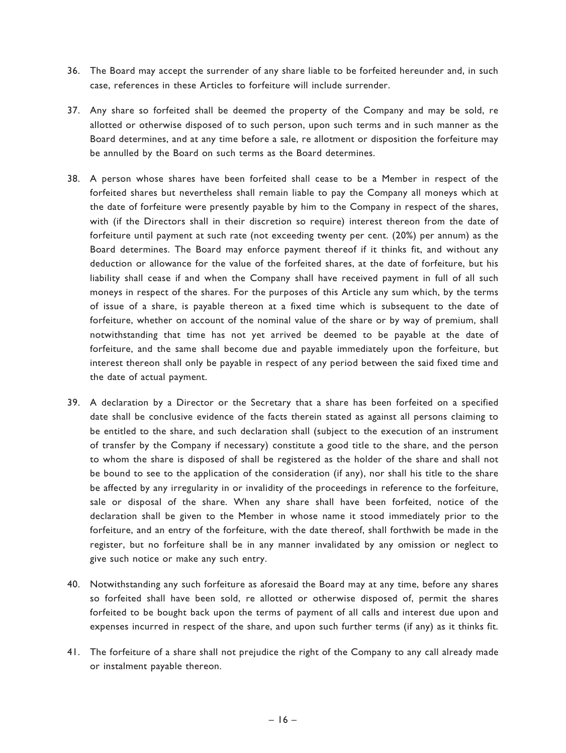- 36. The Board may accept the surrender of any share liable to be forfeited hereunder and, in such case, references in these Articles to forfeiture will include surrender.
- 37. Any share so forfeited shall be deemed the property of the Company and may be sold, re allotted or otherwise disposed of to such person, upon such terms and in such manner as the Board determines, and at any time before a sale, re allotment or disposition the forfeiture may be annulled by the Board on such terms as the Board determines.
- 38. A person whose shares have been forfeited shall cease to be a Member in respect of the forfeited shares but nevertheless shall remain liable to pay the Company all moneys which at the date of forfeiture were presently payable by him to the Company in respect of the shares, with (if the Directors shall in their discretion so require) interest thereon from the date of forfeiture until payment at such rate (not exceeding twenty per cent. (20%) per annum) as the Board determines. The Board may enforce payment thereof if it thinks fit, and without any deduction or allowance for the value of the forfeited shares, at the date of forfeiture, but his liability shall cease if and when the Company shall have received payment in full of all such moneys in respect of the shares. For the purposes of this Article any sum which, by the terms of issue of a share, is payable thereon at a fixed time which is subsequent to the date of forfeiture, whether on account of the nominal value of the share or by way of premium, shall notwithstanding that time has not yet arrived be deemed to be payable at the date of forfeiture, and the same shall become due and payable immediately upon the forfeiture, but interest thereon shall only be payable in respect of any period between the said fixed time and the date of actual payment.
- 39. A declaration by a Director or the Secretary that a share has been forfeited on a specified date shall be conclusive evidence of the facts therein stated as against all persons claiming to be entitled to the share, and such declaration shall (subject to the execution of an instrument of transfer by the Company if necessary) constitute a good title to the share, and the person to whom the share is disposed of shall be registered as the holder of the share and shall not be bound to see to the application of the consideration (if any), nor shall his title to the share be affected by any irregularity in or invalidity of the proceedings in reference to the forfeiture, sale or disposal of the share. When any share shall have been forfeited, notice of the declaration shall be given to the Member in whose name it stood immediately prior to the forfeiture, and an entry of the forfeiture, with the date thereof, shall forthwith be made in the register, but no forfeiture shall be in any manner invalidated by any omission or neglect to give such notice or make any such entry.
- 40. Notwithstanding any such forfeiture as aforesaid the Board may at any time, before any shares so forfeited shall have been sold, re allotted or otherwise disposed of, permit the shares forfeited to be bought back upon the terms of payment of all calls and interest due upon and expenses incurred in respect of the share, and upon such further terms (if any) as it thinks fit.
- 41. The forfeiture of a share shall not prejudice the right of the Company to any call already made or instalment payable thereon.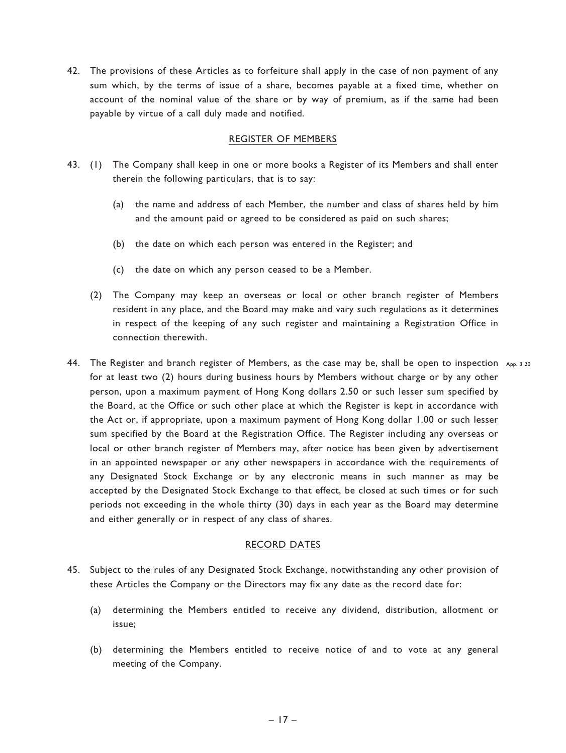42. The provisions of these Articles as to forfeiture shall apply in the case of non payment of any sum which, by the terms of issue of a share, becomes payable at a fixed time, whether on account of the nominal value of the share or by way of premium, as if the same had been payable by virtue of a call duly made and notified.

## REGISTER OF MEMBERS

- 43. (1) The Company shall keep in one or more books a Register of its Members and shall enter therein the following particulars, that is to say:
	- (a) the name and address of each Member, the number and class of shares held by him and the amount paid or agreed to be considered as paid on such shares;
	- (b) the date on which each person was entered in the Register; and
	- (c) the date on which any person ceased to be a Member.
	- (2) The Company may keep an overseas or local or other branch register of Members resident in any place, and the Board may make and vary such regulations as it determines in respect of the keeping of any such register and maintaining a Registration Office in connection therewith.
- 44. The Register and branch register of Members, as the case may be, shall be open to inspection  $\,$   $_{\sf app.}$  3  $_{\sf 20}$ for at least two (2) hours during business hours by Members without charge or by any other person, upon a maximum payment of Hong Kong dollars 2.50 or such lesser sum specified by the Board, at the Office or such other place at which the Register is kept in accordance with the Act or, if appropriate, upon a maximum payment of Hong Kong dollar 1.00 or such lesser sum specified by the Board at the Registration Office. The Register including any overseas or local or other branch register of Members may, after notice has been given by advertisement in an appointed newspaper or any other newspapers in accordance with the requirements of any Designated Stock Exchange or by any electronic means in such manner as may be accepted by the Designated Stock Exchange to that effect, be closed at such times or for such periods not exceeding in the whole thirty (30) days in each year as the Board may determine and either generally or in respect of any class of shares.

### RECORD DATES

- 45. Subject to the rules of any Designated Stock Exchange, notwithstanding any other provision of these Articles the Company or the Directors may fix any date as the record date for:
	- (a) determining the Members entitled to receive any dividend, distribution, allotment or issue;
	- (b) determining the Members entitled to receive notice of and to vote at any general meeting of the Company.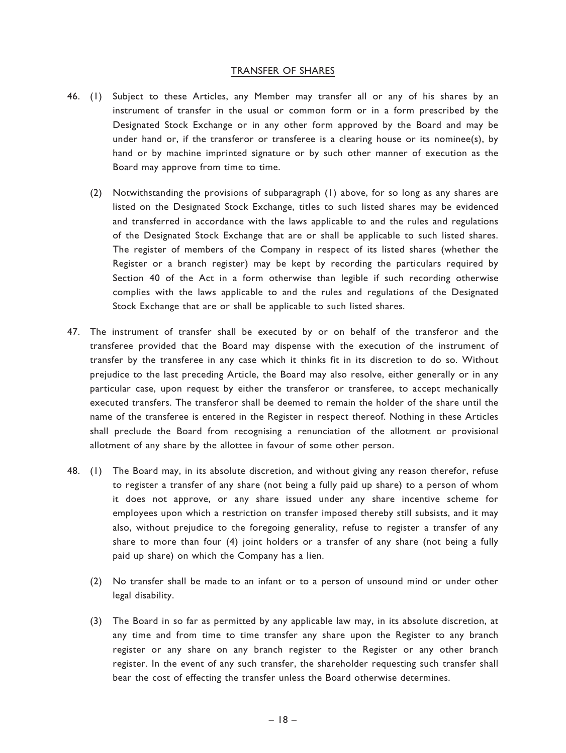#### TRANSFER OF SHARES

- 46. (1) Subject to these Articles, any Member may transfer all or any of his shares by an instrument of transfer in the usual or common form or in a form prescribed by the Designated Stock Exchange or in any other form approved by the Board and may be under hand or, if the transferor or transferee is a clearing house or its nominee(s), by hand or by machine imprinted signature or by such other manner of execution as the Board may approve from time to time.
	- (2) Notwithstanding the provisions of subparagraph (1) above, for so long as any shares are listed on the Designated Stock Exchange, titles to such listed shares may be evidenced and transferred in accordance with the laws applicable to and the rules and regulations of the Designated Stock Exchange that are or shall be applicable to such listed shares. The register of members of the Company in respect of its listed shares (whether the Register or a branch register) may be kept by recording the particulars required by Section 40 of the Act in a form otherwise than legible if such recording otherwise complies with the laws applicable to and the rules and regulations of the Designated Stock Exchange that are or shall be applicable to such listed shares.
- 47. The instrument of transfer shall be executed by or on behalf of the transferor and the transferee provided that the Board may dispense with the execution of the instrument of transfer by the transferee in any case which it thinks fit in its discretion to do so. Without prejudice to the last preceding Article, the Board may also resolve, either generally or in any particular case, upon request by either the transferor or transferee, to accept mechanically executed transfers. The transferor shall be deemed to remain the holder of the share until the name of the transferee is entered in the Register in respect thereof. Nothing in these Articles shall preclude the Board from recognising a renunciation of the allotment or provisional allotment of any share by the allottee in favour of some other person.
- 48. (1) The Board may, in its absolute discretion, and without giving any reason therefor, refuse to register a transfer of any share (not being a fully paid up share) to a person of whom it does not approve, or any share issued under any share incentive scheme for employees upon which a restriction on transfer imposed thereby still subsists, and it may also, without prejudice to the foregoing generality, refuse to register a transfer of any share to more than four (4) joint holders or a transfer of any share (not being a fully paid up share) on which the Company has a lien.
	- (2) No transfer shall be made to an infant or to a person of unsound mind or under other legal disability.
	- (3) The Board in so far as permitted by any applicable law may, in its absolute discretion, at any time and from time to time transfer any share upon the Register to any branch register or any share on any branch register to the Register or any other branch register. In the event of any such transfer, the shareholder requesting such transfer shall bear the cost of effecting the transfer unless the Board otherwise determines.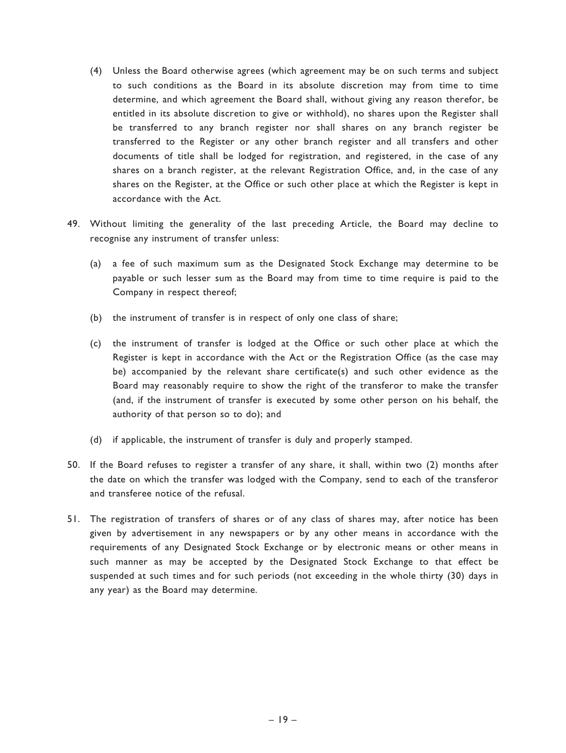- (4) Unless the Board otherwise agrees (which agreement may be on such terms and subject to such conditions as the Board in its absolute discretion may from time to time determine, and which agreement the Board shall, without giving any reason therefor, be entitled in its absolute discretion to give or withhold), no shares upon the Register shall be transferred to any branch register nor shall shares on any branch register be transferred to the Register or any other branch register and all transfers and other documents of title shall be lodged for registration, and registered, in the case of any shares on a branch register, at the relevant Registration Office, and, in the case of any shares on the Register, at the Office or such other place at which the Register is kept in accordance with the Act.
- 49. Without limiting the generality of the last preceding Article, the Board may decline to recognise any instrument of transfer unless:
	- (a) a fee of such maximum sum as the Designated Stock Exchange may determine to be payable or such lesser sum as the Board may from time to time require is paid to the Company in respect thereof;
	- (b) the instrument of transfer is in respect of only one class of share;
	- (c) the instrument of transfer is lodged at the Office or such other place at which the Register is kept in accordance with the Act or the Registration Office (as the case may be) accompanied by the relevant share certificate(s) and such other evidence as the Board may reasonably require to show the right of the transferor to make the transfer (and, if the instrument of transfer is executed by some other person on his behalf, the authority of that person so to do); and
	- (d) if applicable, the instrument of transfer is duly and properly stamped.
- 50. If the Board refuses to register a transfer of any share, it shall, within two (2) months after the date on which the transfer was lodged with the Company, send to each of the transferor and transferee notice of the refusal.
- 51. The registration of transfers of shares or of any class of shares may, after notice has been given by advertisement in any newspapers or by any other means in accordance with the requirements of any Designated Stock Exchange or by electronic means or other means in such manner as may be accepted by the Designated Stock Exchange to that effect be suspended at such times and for such periods (not exceeding in the whole thirty (30) days in any year) as the Board may determine.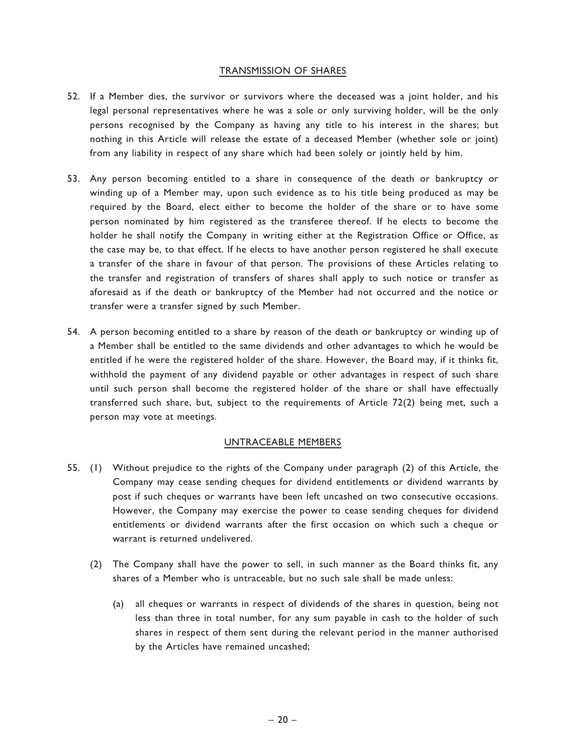## TRANSMISSION OF SHARES

- 52. If a Member dies, the survivor or survivors where the deceased was a joint holder, and his legal personal representatives where he was a sole or only surviving holder, will be the only persons recognised by the Company as having any title to his interest in the shares; but nothing in this Article will release the estate of a deceased Member (whether sole or joint) from any liability in respect of any share which had been solely or jointly held by him.
- 53. Any person becoming entitled to a share in consequence of the death or bankruptcy or winding up of a Member may, upon such evidence as to his title being produced as may be required by the Board, elect either to become the holder of the share or to have some person nominated by him registered as the transferee thereof. If he elects to become the holder he shall notify the Company in writing either at the Registration Office or Office, as the case may be, to that effect. If he elects to have another person registered he shall execute a transfer of the share in favour of that person. The provisions of these Articles relating to the transfer and registration of transfers of shares shall apply to such notice or transfer as aforesaid as if the death or bankruptcy of the Member had not occurred and the notice or transfer were a transfer signed by such Member.
- 54. A person becoming entitled to a share by reason of the death or bankruptcy or winding up of a Member shall be entitled to the same dividends and other advantages to which he would be entitled if he were the registered holder of the share. However, the Board may, if it thinks fit, withhold the payment of any dividend payable or other advantages in respect of such share until such person shall become the registered holder of the share or shall have effectually transferred such share, but, subject to the requirements of Article 72(2) being met, such a person may vote at meetings.

## UNTRACEABLE MEMBERS

- 55. (1) Without prejudice to the rights of the Company under paragraph (2) of this Article, the Company may cease sending cheques for dividend entitlements or dividend warrants by post if such cheques or warrants have been left uncashed on two consecutive occasions. However, the Company may exercise the power to cease sending cheques for dividend entitlements or dividend warrants after the first occasion on which such a cheque or warrant is returned undelivered.
	- (2) The Company shall have the power to sell, in such manner as the Board thinks fit, any shares of a Member who is untraceable, but no such sale shall be made unless:
		- (a) all cheques or warrants in respect of dividends of the shares in question, being not less than three in total number, for any sum payable in cash to the holder of such shares in respect of them sent during the relevant period in the manner authorised by the Articles have remained uncashed;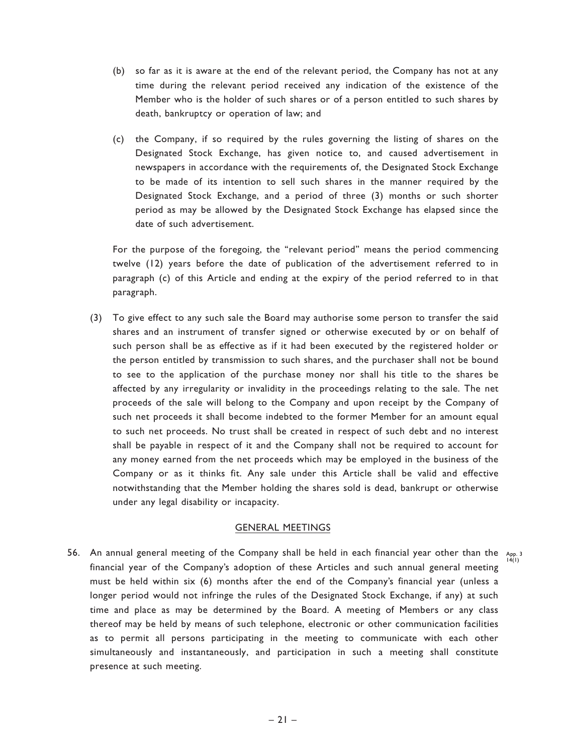- (b) so far as it is aware at the end of the relevant period, the Company has not at any time during the relevant period received any indication of the existence of the Member who is the holder of such shares or of a person entitled to such shares by death, bankruptcy or operation of law; and
- (c) the Company, if so required by the rules governing the listing of shares on the Designated Stock Exchange, has given notice to, and caused advertisement in newspapers in accordance with the requirements of, the Designated Stock Exchange to be made of its intention to sell such shares in the manner required by the Designated Stock Exchange, and a period of three (3) months or such shorter period as may be allowed by the Designated Stock Exchange has elapsed since the date of such advertisement.

For the purpose of the foregoing, the ''relevant period'' means the period commencing twelve (12) years before the date of publication of the advertisement referred to in paragraph (c) of this Article and ending at the expiry of the period referred to in that paragraph.

(3) To give effect to any such sale the Board may authorise some person to transfer the said shares and an instrument of transfer signed or otherwise executed by or on behalf of such person shall be as effective as if it had been executed by the registered holder or the person entitled by transmission to such shares, and the purchaser shall not be bound to see to the application of the purchase money nor shall his title to the shares be affected by any irregularity or invalidity in the proceedings relating to the sale. The net proceeds of the sale will belong to the Company and upon receipt by the Company of such net proceeds it shall become indebted to the former Member for an amount equal to such net proceeds. No trust shall be created in respect of such debt and no interest shall be payable in respect of it and the Company shall not be required to account for any money earned from the net proceeds which may be employed in the business of the Company or as it thinks fit. Any sale under this Article shall be valid and effective notwithstanding that the Member holding the shares sold is dead, bankrupt or otherwise under any legal disability or incapacity.

### GENERAL MEETINGS

56. An annual general meeting of the Company shall be held in each financial year other than the  $\lim_{14(1)}$ financial year of the Company's adoption of these Articles and such annual general meeting must be held within six (6) months after the end of the Company's financial year (unless a longer period would not infringe the rules of the Designated Stock Exchange, if any) at such time and place as may be determined by the Board. A meeting of Members or any class thereof may be held by means of such telephone, electronic or other communication facilities as to permit all persons participating in the meeting to communicate with each other simultaneously and instantaneously, and participation in such a meeting shall constitute presence at such meeting.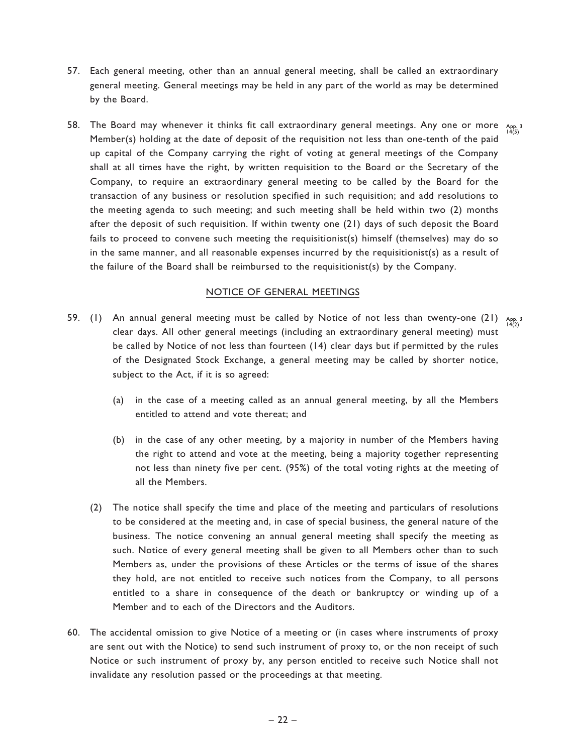- 57. Each general meeting, other than an annual general meeting, shall be called an extraordinary general meeting. General meetings may be held in any part of the world as may be determined by the Board.
- 58. The Board may whenever it thinks fit call extraordinary general meetings. Any one or more  $A_{\sf pp, 3}$ Member(s) holding at the date of deposit of the requisition not less than one-tenth of the paid up capital of the Company carrying the right of voting at general meetings of the Company shall at all times have the right, by written requisition to the Board or the Secretary of the Company, to require an extraordinary general meeting to be called by the Board for the transaction of any business or resolution specified in such requisition; and add resolutions to the meeting agenda to such meeting; and such meeting shall be held within two (2) months after the deposit of such requisition. If within twenty one (21) days of such deposit the Board fails to proceed to convene such meeting the requisitionist(s) himself (themselves) may do so in the same manner, and all reasonable expenses incurred by the requisitionist(s) as a result of the failure of the Board shall be reimbursed to the requisitionist(s) by the Company.

### NOTICE OF GENERAL MEETINGS

- 59. (1) An annual general meeting must be called by Notice of not less than twenty-one (21)  $\lim_{14(2)}$ clear days. All other general meetings (including an extraordinary general meeting) must be called by Notice of not less than fourteen (14) clear days but if permitted by the rules of the Designated Stock Exchange, a general meeting may be called by shorter notice, subject to the Act, if it is so agreed:
	- (a) in the case of a meeting called as an annual general meeting, by all the Members entitled to attend and vote thereat; and
	- (b) in the case of any other meeting, by a majority in number of the Members having the right to attend and vote at the meeting, being a majority together representing not less than ninety five per cent. (95%) of the total voting rights at the meeting of all the Members.
	- (2) The notice shall specify the time and place of the meeting and particulars of resolutions to be considered at the meeting and, in case of special business, the general nature of the business. The notice convening an annual general meeting shall specify the meeting as such. Notice of every general meeting shall be given to all Members other than to such Members as, under the provisions of these Articles or the terms of issue of the shares they hold, are not entitled to receive such notices from the Company, to all persons entitled to a share in consequence of the death or bankruptcy or winding up of a Member and to each of the Directors and the Auditors.
- 60. The accidental omission to give Notice of a meeting or (in cases where instruments of proxy are sent out with the Notice) to send such instrument of proxy to, or the non receipt of such Notice or such instrument of proxy by, any person entitled to receive such Notice shall not invalidate any resolution passed or the proceedings at that meeting.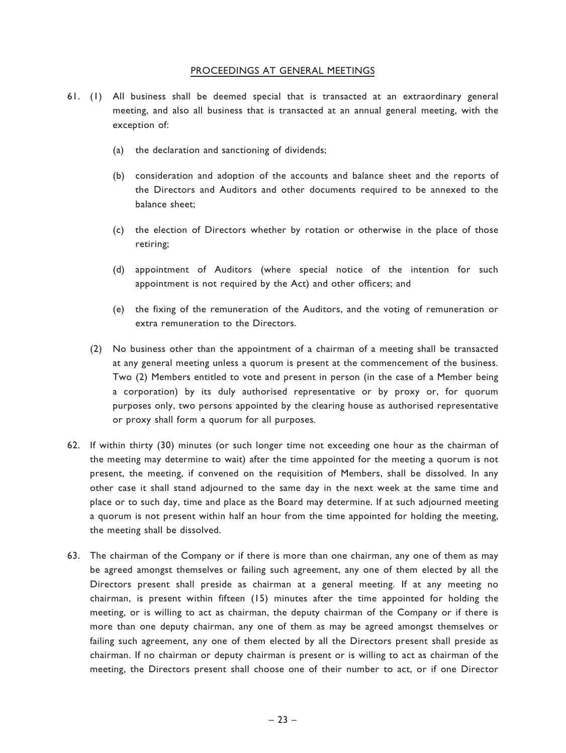## PROCEEDINGS AT GENERAL MEETINGS

- 61. (1) All business shall be deemed special that is transacted at an extraordinary general meeting, and also all business that is transacted at an annual general meeting, with the exception of:
	- (a) the declaration and sanctioning of dividends;
	- (b) consideration and adoption of the accounts and balance sheet and the reports of the Directors and Auditors and other documents required to be annexed to the balance sheet;
	- (c) the election of Directors whether by rotation or otherwise in the place of those retiring;
	- (d) appointment of Auditors (where special notice of the intention for such appointment is not required by the Act) and other officers; and
	- (e) the fixing of the remuneration of the Auditors, and the voting of remuneration or extra remuneration to the Directors.
	- (2) No business other than the appointment of a chairman of a meeting shall be transacted at any general meeting unless a quorum is present at the commencement of the business. Two (2) Members entitled to vote and present in person (in the case of a Member being a corporation) by its duly authorised representative or by proxy or, for quorum purposes only, two persons appointed by the clearing house as authorised representative or proxy shall form a quorum for all purposes.
- 62. If within thirty (30) minutes (or such longer time not exceeding one hour as the chairman of the meeting may determine to wait) after the time appointed for the meeting a quorum is not present, the meeting, if convened on the requisition of Members, shall be dissolved. In any other case it shall stand adjourned to the same day in the next week at the same time and place or to such day, time and place as the Board may determine. If at such adjourned meeting a quorum is not present within half an hour from the time appointed for holding the meeting, the meeting shall be dissolved.
- 63. The chairman of the Company or if there is more than one chairman, any one of them as may be agreed amongst themselves or failing such agreement, any one of them elected by all the Directors present shall preside as chairman at a general meeting. If at any meeting no chairman, is present within fifteen (15) minutes after the time appointed for holding the meeting, or is willing to act as chairman, the deputy chairman of the Company or if there is more than one deputy chairman, any one of them as may be agreed amongst themselves or failing such agreement, any one of them elected by all the Directors present shall preside as chairman. If no chairman or deputy chairman is present or is willing to act as chairman of the meeting, the Directors present shall choose one of their number to act, or if one Director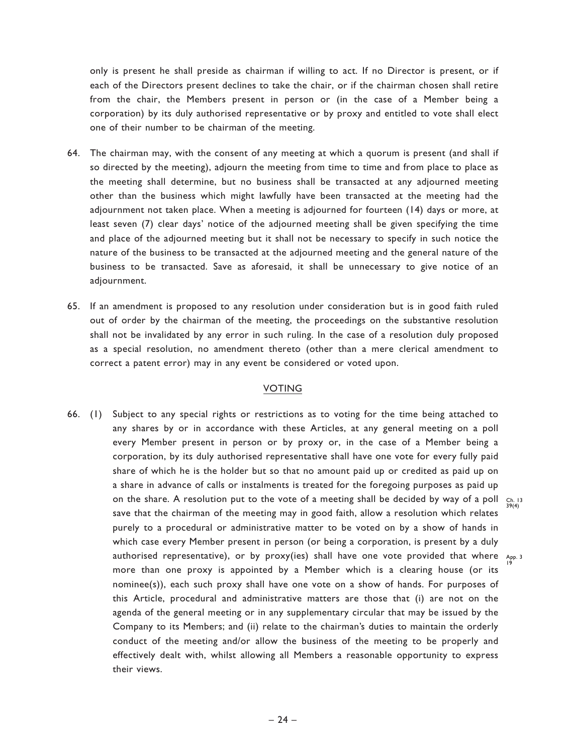only is present he shall preside as chairman if willing to act. If no Director is present, or if each of the Directors present declines to take the chair, or if the chairman chosen shall retire from the chair, the Members present in person or (in the case of a Member being a corporation) by its duly authorised representative or by proxy and entitled to vote shall elect one of their number to be chairman of the meeting.

- 64. The chairman may, with the consent of any meeting at which a quorum is present (and shall if so directed by the meeting), adjourn the meeting from time to time and from place to place as the meeting shall determine, but no business shall be transacted at any adjourned meeting other than the business which might lawfully have been transacted at the meeting had the adjournment not taken place. When a meeting is adjourned for fourteen (14) days or more, at least seven (7) clear days' notice of the adjourned meeting shall be given specifying the time and place of the adjourned meeting but it shall not be necessary to specify in such notice the nature of the business to be transacted at the adjourned meeting and the general nature of the business to be transacted. Save as aforesaid, it shall be unnecessary to give notice of an adjournment.
- 65. If an amendment is proposed to any resolution under consideration but is in good faith ruled out of order by the chairman of the meeting, the proceedings on the substantive resolution shall not be invalidated by any error in such ruling. In the case of a resolution duly proposed as a special resolution, no amendment thereto (other than a mere clerical amendment to correct a patent error) may in any event be considered or voted upon.

## VOTING

66. (1) Subject to any special rights or restrictions as to voting for the time being attached to any shares by or in accordance with these Articles, at any general meeting on a poll every Member present in person or by proxy or, in the case of a Member being a corporation, by its duly authorised representative shall have one vote for every fully paid share of which he is the holder but so that no amount paid up or credited as paid up on a share in advance of calls or instalments is treated for the foregoing purposes as paid up on the share. A resolution put to the vote of a meeting shall be decided by way of a poll  $\frac{Ch}{39(4)}$ save that the chairman of the meeting may in good faith, allow a resolution which relates purely to a procedural or administrative matter to be voted on by a show of hands in which case every Member present in person (or being a corporation, is present by a duly authorised representative), or by proxy(ies) shall have one vote provided that where  $_{\sf App.}$  3 more than one proxy is appointed by a Member which is a clearing house (or its nominee(s)), each such proxy shall have one vote on a show of hands. For purposes of this Article, procedural and administrative matters are those that (i) are not on the agenda of the general meeting or in any supplementary circular that may be issued by the Company to its Members; and (ii) relate to the chairman's duties to maintain the orderly conduct of the meeting and/or allow the business of the meeting to be properly and effectively dealt with, whilst allowing all Members a reasonable opportunity to express their views. 19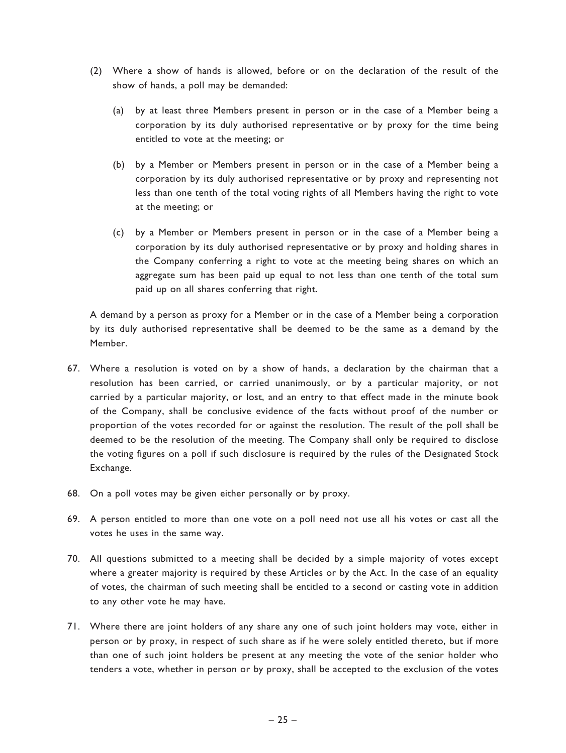- (2) Where a show of hands is allowed, before or on the declaration of the result of the show of hands, a poll may be demanded:
	- (a) by at least three Members present in person or in the case of a Member being a corporation by its duly authorised representative or by proxy for the time being entitled to vote at the meeting; or
	- (b) by a Member or Members present in person or in the case of a Member being a corporation by its duly authorised representative or by proxy and representing not less than one tenth of the total voting rights of all Members having the right to vote at the meeting; or
	- (c) by a Member or Members present in person or in the case of a Member being a corporation by its duly authorised representative or by proxy and holding shares in the Company conferring a right to vote at the meeting being shares on which an aggregate sum has been paid up equal to not less than one tenth of the total sum paid up on all shares conferring that right.

A demand by a person as proxy for a Member or in the case of a Member being a corporation by its duly authorised representative shall be deemed to be the same as a demand by the Member.

- 67. Where a resolution is voted on by a show of hands, a declaration by the chairman that a resolution has been carried, or carried unanimously, or by a particular majority, or not carried by a particular majority, or lost, and an entry to that effect made in the minute book of the Company, shall be conclusive evidence of the facts without proof of the number or proportion of the votes recorded for or against the resolution. The result of the poll shall be deemed to be the resolution of the meeting. The Company shall only be required to disclose the voting figures on a poll if such disclosure is required by the rules of the Designated Stock Exchange.
- 68. On a poll votes may be given either personally or by proxy.
- 69. A person entitled to more than one vote on a poll need not use all his votes or cast all the votes he uses in the same way.
- 70. All questions submitted to a meeting shall be decided by a simple majority of votes except where a greater majority is required by these Articles or by the Act. In the case of an equality of votes, the chairman of such meeting shall be entitled to a second or casting vote in addition to any other vote he may have.
- 71. Where there are joint holders of any share any one of such joint holders may vote, either in person or by proxy, in respect of such share as if he were solely entitled thereto, but if more than one of such joint holders be present at any meeting the vote of the senior holder who tenders a vote, whether in person or by proxy, shall be accepted to the exclusion of the votes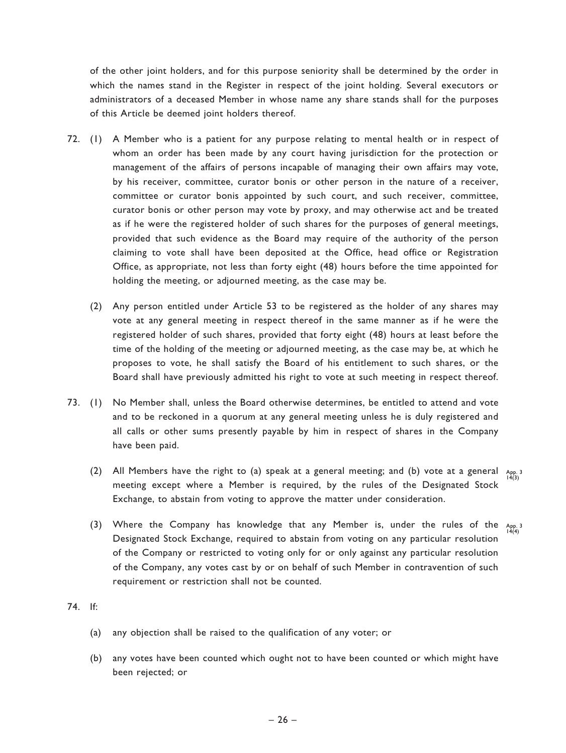of the other joint holders, and for this purpose seniority shall be determined by the order in which the names stand in the Register in respect of the joint holding. Several executors or administrators of a deceased Member in whose name any share stands shall for the purposes of this Article be deemed joint holders thereof.

- 72. (1) A Member who is a patient for any purpose relating to mental health or in respect of whom an order has been made by any court having jurisdiction for the protection or management of the affairs of persons incapable of managing their own affairs may vote, by his receiver, committee, curator bonis or other person in the nature of a receiver, committee or curator bonis appointed by such court, and such receiver, committee, curator bonis or other person may vote by proxy, and may otherwise act and be treated as if he were the registered holder of such shares for the purposes of general meetings, provided that such evidence as the Board may require of the authority of the person claiming to vote shall have been deposited at the Office, head office or Registration Office, as appropriate, not less than forty eight (48) hours before the time appointed for holding the meeting, or adjourned meeting, as the case may be.
	- (2) Any person entitled under Article 53 to be registered as the holder of any shares may vote at any general meeting in respect thereof in the same manner as if he were the registered holder of such shares, provided that forty eight (48) hours at least before the time of the holding of the meeting or adjourned meeting, as the case may be, at which he proposes to vote, he shall satisfy the Board of his entitlement to such shares, or the Board shall have previously admitted his right to vote at such meeting in respect thereof.
- 73. (1) No Member shall, unless the Board otherwise determines, be entitled to attend and vote and to be reckoned in a quorum at any general meeting unless he is duly registered and all calls or other sums presently payable by him in respect of shares in the Company have been paid.
	- (2) All Members have the right to (a) speak at a general meeting; and (b) vote at a general  $\lim_{\substack{A \mid 9 \n\mid 4(3)}}$ meeting except where a Member is required, by the rules of the Designated Stock Exchange, to abstain from voting to approve the matter under consideration.
	- (3) Where the Company has knowledge that any Member is, under the rules of the  $_{App,3}^{App}$ Designated Stock Exchange, required to abstain from voting on any particular resolution of the Company or restricted to voting only for or only against any particular resolution of the Company, any votes cast by or on behalf of such Member in contravention of such requirement or restriction shall not be counted.

## 74. If:

- (a) any objection shall be raised to the qualification of any voter; or
- (b) any votes have been counted which ought not to have been counted or which might have been rejected; or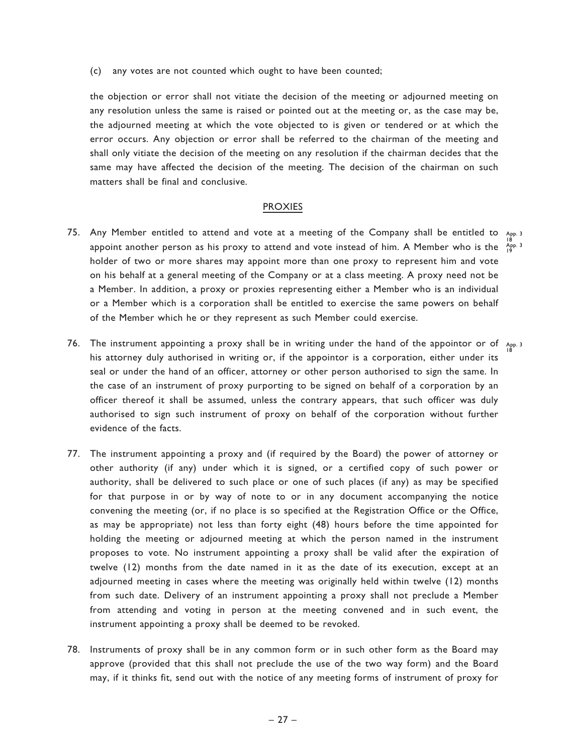(c) any votes are not counted which ought to have been counted;

the objection or error shall not vitiate the decision of the meeting or adjourned meeting on any resolution unless the same is raised or pointed out at the meeting or, as the case may be, the adjourned meeting at which the vote objected to is given or tendered or at which the error occurs. Any objection or error shall be referred to the chairman of the meeting and shall only vitiate the decision of the meeting on any resolution if the chairman decides that the same may have affected the decision of the meeting. The decision of the chairman on such matters shall be final and conclusive.

## PROXIES

- 75. Any Member entitled to attend and vote at a meeting of the Company shall be entitled to  $\Delta_\mathrm{pp.3}$ appoint another person as his proxy to attend and vote instead of him. A Member who is the  $\frac{18}{19}$ holder of two or more shares may appoint more than one proxy to represent him and vote on his behalf at a general meeting of the Company or at a class meeting. A proxy need not be a Member. In addition, a proxy or proxies representing either a Member who is an individual or a Member which is a corporation shall be entitled to exercise the same powers on behalf of the Member which he or they represent as such Member could exercise.
- 76. The instrument appointing a proxy shall be in writing under the hand of the appointor or of  $_{\rm{App. 3}}$ his attorney duly authorised in writing or, if the appointor is a corporation, either under its seal or under the hand of an officer, attorney or other person authorised to sign the same. In the case of an instrument of proxy purporting to be signed on behalf of a corporation by an officer thereof it shall be assumed, unless the contrary appears, that such officer was duly authorised to sign such instrument of proxy on behalf of the corporation without further evidence of the facts. 18
- 77. The instrument appointing a proxy and (if required by the Board) the power of attorney or other authority (if any) under which it is signed, or a certified copy of such power or authority, shall be delivered to such place or one of such places (if any) as may be specified for that purpose in or by way of note to or in any document accompanying the notice convening the meeting (or, if no place is so specified at the Registration Office or the Office, as may be appropriate) not less than forty eight (48) hours before the time appointed for holding the meeting or adjourned meeting at which the person named in the instrument proposes to vote. No instrument appointing a proxy shall be valid after the expiration of twelve (12) months from the date named in it as the date of its execution, except at an adjourned meeting in cases where the meeting was originally held within twelve (12) months from such date. Delivery of an instrument appointing a proxy shall not preclude a Member from attending and voting in person at the meeting convened and in such event, the instrument appointing a proxy shall be deemed to be revoked.
- 78. Instruments of proxy shall be in any common form or in such other form as the Board may approve (provided that this shall not preclude the use of the two way form) and the Board may, if it thinks fit, send out with the notice of any meeting forms of instrument of proxy for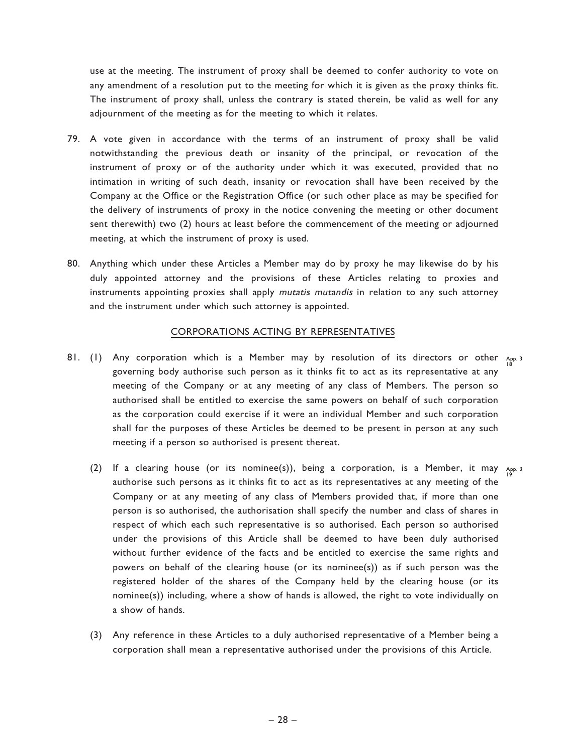use at the meeting. The instrument of proxy shall be deemed to confer authority to vote on any amendment of a resolution put to the meeting for which it is given as the proxy thinks fit. The instrument of proxy shall, unless the contrary is stated therein, be valid as well for any adjournment of the meeting as for the meeting to which it relates.

- 79. A vote given in accordance with the terms of an instrument of proxy shall be valid notwithstanding the previous death or insanity of the principal, or revocation of the instrument of proxy or of the authority under which it was executed, provided that no intimation in writing of such death, insanity or revocation shall have been received by the Company at the Office or the Registration Office (or such other place as may be specified for the delivery of instruments of proxy in the notice convening the meeting or other document sent therewith) two (2) hours at least before the commencement of the meeting or adjourned meeting, at which the instrument of proxy is used.
- 80. Anything which under these Articles a Member may do by proxy he may likewise do by his duly appointed attorney and the provisions of these Articles relating to proxies and instruments appointing proxies shall apply mutatis mutandis in relation to any such attorney and the instrument under which such attorney is appointed.

### CORPORATIONS ACTING BY REPRESENTATIVES

- 81. (1) Any corporation which is a Member may by resolution of its directors or other App. 3 governing body authorise such person as it thinks fit to act as its representative at any meeting of the Company or at any meeting of any class of Members. The person so authorised shall be entitled to exercise the same powers on behalf of such corporation as the corporation could exercise if it were an individual Member and such corporation shall for the purposes of these Articles be deemed to be present in person at any such meeting if a person so authorised is present thereat. 18
	- (2) If a clearing house (or its nominee(s)), being a corporation, is a Member, it may  $\lim_{\beta}$  is authorise such persons as it thinks fit to act as its representatives at any meeting of the Company or at any meeting of any class of Members provided that, if more than one person is so authorised, the authorisation shall specify the number and class of shares in respect of which each such representative is so authorised. Each person so authorised under the provisions of this Article shall be deemed to have been duly authorised without further evidence of the facts and be entitled to exercise the same rights and powers on behalf of the clearing house (or its nominee(s)) as if such person was the registered holder of the shares of the Company held by the clearing house (or its nominee(s)) including, where a show of hands is allowed, the right to vote individually on a show of hands.
	- (3) Any reference in these Articles to a duly authorised representative of a Member being a corporation shall mean a representative authorised under the provisions of this Article.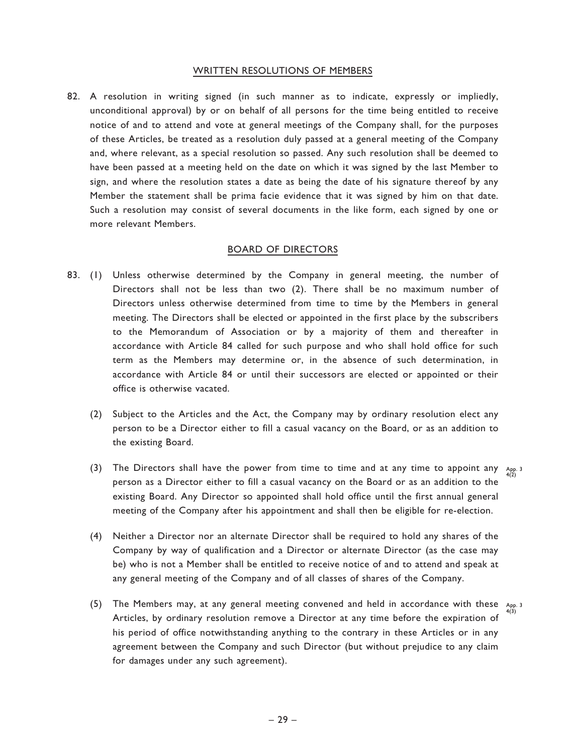#### WRITTEN RESOLUTIONS OF MEMBERS

82. A resolution in writing signed (in such manner as to indicate, expressly or impliedly, unconditional approval) by or on behalf of all persons for the time being entitled to receive notice of and to attend and vote at general meetings of the Company shall, for the purposes of these Articles, be treated as a resolution duly passed at a general meeting of the Company and, where relevant, as a special resolution so passed. Any such resolution shall be deemed to have been passed at a meeting held on the date on which it was signed by the last Member to sign, and where the resolution states a date as being the date of his signature thereof by any Member the statement shall be prima facie evidence that it was signed by him on that date. Such a resolution may consist of several documents in the like form, each signed by one or more relevant Members.

#### BOARD OF DIRECTORS

- 83. (1) Unless otherwise determined by the Company in general meeting, the number of Directors shall not be less than two (2). There shall be no maximum number of Directors unless otherwise determined from time to time by the Members in general meeting. The Directors shall be elected or appointed in the first place by the subscribers to the Memorandum of Association or by a majority of them and thereafter in accordance with Article 84 called for such purpose and who shall hold office for such term as the Members may determine or, in the absence of such determination, in accordance with Article 84 or until their successors are elected or appointed or their office is otherwise vacated.
	- (2) Subject to the Articles and the Act, the Company may by ordinary resolution elect any person to be a Director either to fill a casual vacancy on the Board, or as an addition to the existing Board.
	- (3) The Directors shall have the power from time to time and at any time to appoint any  $A_{\text{PP}}$ ,  $A_{\text{PD}}$ person as a Director either to fill a casual vacancy on the Board or as an addition to the existing Board. Any Director so appointed shall hold office until the first annual general meeting of the Company after his appointment and shall then be eligible for re-election.
	- (4) Neither a Director nor an alternate Director shall be required to hold any shares of the Company by way of qualification and a Director or alternate Director (as the case may be) who is not a Member shall be entitled to receive notice of and to attend and speak at any general meeting of the Company and of all classes of shares of the Company.
	- (5) The Members may, at any general meeting convened and held in accordance with these  $A_{\text{pp, 3}}$ Articles, by ordinary resolution remove a Director at any time before the expiration of his period of office notwithstanding anything to the contrary in these Articles or in any agreement between the Company and such Director (but without prejudice to any claim for damages under any such agreement).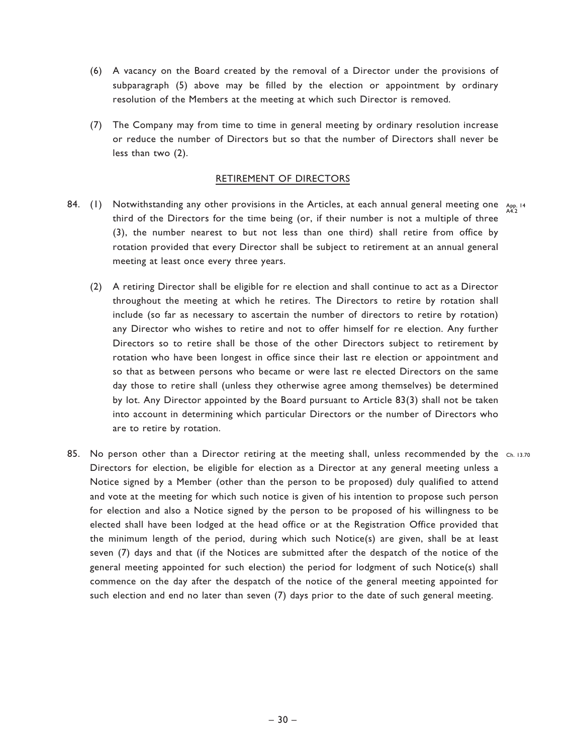- (6) A vacancy on the Board created by the removal of a Director under the provisions of subparagraph (5) above may be filled by the election or appointment by ordinary resolution of the Members at the meeting at which such Director is removed.
- (7) The Company may from time to time in general meeting by ordinary resolution increase or reduce the number of Directors but so that the number of Directors shall never be less than two (2).

## RETIREMENT OF DIRECTORS

- 84. (1) Notwithstanding any other provisions in the Articles, at each annual general meeting one  $\frac{A_{PD}}{A_{4.2}}$ third of the Directors for the time being (or, if their number is not a multiple of three (3), the number nearest to but not less than one third) shall retire from office by rotation provided that every Director shall be subject to retirement at an annual general meeting at least once every three years.
	- (2) A retiring Director shall be eligible for re election and shall continue to act as a Director throughout the meeting at which he retires. The Directors to retire by rotation shall include (so far as necessary to ascertain the number of directors to retire by rotation) any Director who wishes to retire and not to offer himself for re election. Any further Directors so to retire shall be those of the other Directors subject to retirement by rotation who have been longest in office since their last re election or appointment and so that as between persons who became or were last re elected Directors on the same day those to retire shall (unless they otherwise agree among themselves) be determined by lot. Any Director appointed by the Board pursuant to Article 83(3) shall not be taken into account in determining which particular Directors or the number of Directors who are to retire by rotation.
- 85. No person other than a Director retiring at the meeting shall, unless recommended by the ch. 13.70 Directors for election, be eligible for election as a Director at any general meeting unless a Notice signed by a Member (other than the person to be proposed) duly qualified to attend and vote at the meeting for which such notice is given of his intention to propose such person for election and also a Notice signed by the person to be proposed of his willingness to be elected shall have been lodged at the head office or at the Registration Office provided that the minimum length of the period, during which such Notice(s) are given, shall be at least seven (7) days and that (if the Notices are submitted after the despatch of the notice of the general meeting appointed for such election) the period for lodgment of such Notice(s) shall commence on the day after the despatch of the notice of the general meeting appointed for such election and end no later than seven (7) days prior to the date of such general meeting.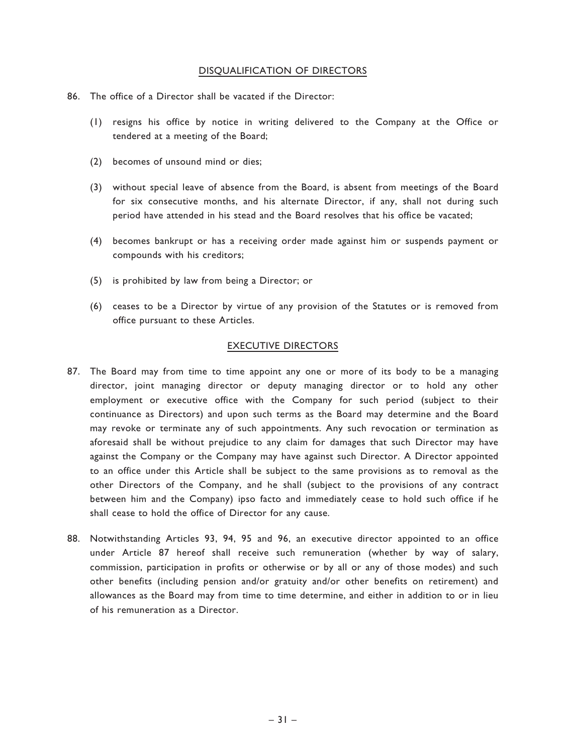## DISQUALIFICATION OF DIRECTORS

- 86. The office of a Director shall be vacated if the Director:
	- (1) resigns his office by notice in writing delivered to the Company at the Office or tendered at a meeting of the Board;
	- (2) becomes of unsound mind or dies;
	- (3) without special leave of absence from the Board, is absent from meetings of the Board for six consecutive months, and his alternate Director, if any, shall not during such period have attended in his stead and the Board resolves that his office be vacated;
	- (4) becomes bankrupt or has a receiving order made against him or suspends payment or compounds with his creditors;
	- (5) is prohibited by law from being a Director; or
	- (6) ceases to be a Director by virtue of any provision of the Statutes or is removed from office pursuant to these Articles.

## EXECUTIVE DIRECTORS

- 87. The Board may from time to time appoint any one or more of its body to be a managing director, joint managing director or deputy managing director or to hold any other employment or executive office with the Company for such period (subject to their continuance as Directors) and upon such terms as the Board may determine and the Board may revoke or terminate any of such appointments. Any such revocation or termination as aforesaid shall be without prejudice to any claim for damages that such Director may have against the Company or the Company may have against such Director. A Director appointed to an office under this Article shall be subject to the same provisions as to removal as the other Directors of the Company, and he shall (subject to the provisions of any contract between him and the Company) ipso facto and immediately cease to hold such office if he shall cease to hold the office of Director for any cause.
- 88. Notwithstanding Articles 93, 94, 95 and 96, an executive director appointed to an office under Article 87 hereof shall receive such remuneration (whether by way of salary, commission, participation in profits or otherwise or by all or any of those modes) and such other benefits (including pension and/or gratuity and/or other benefits on retirement) and allowances as the Board may from time to time determine, and either in addition to or in lieu of his remuneration as a Director.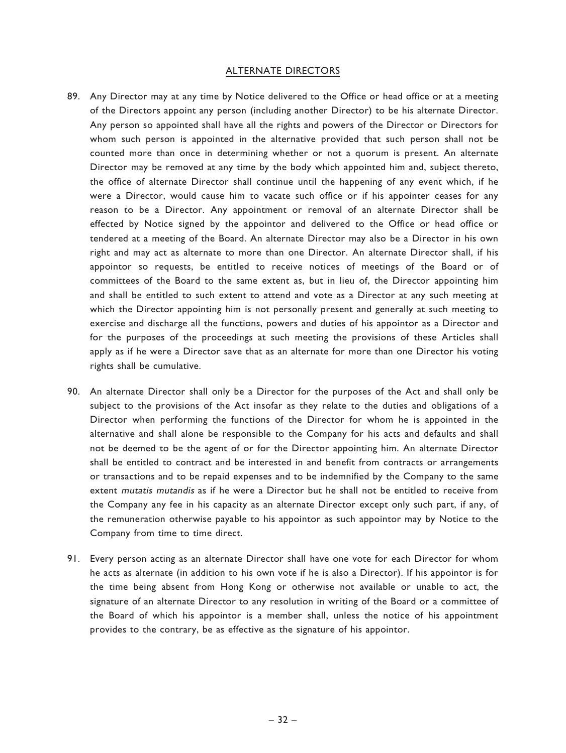#### ALTERNATE DIRECTORS

- 89. Any Director may at any time by Notice delivered to the Office or head office or at a meeting of the Directors appoint any person (including another Director) to be his alternate Director. Any person so appointed shall have all the rights and powers of the Director or Directors for whom such person is appointed in the alternative provided that such person shall not be counted more than once in determining whether or not a quorum is present. An alternate Director may be removed at any time by the body which appointed him and, subject thereto, the office of alternate Director shall continue until the happening of any event which, if he were a Director, would cause him to vacate such office or if his appointer ceases for any reason to be a Director. Any appointment or removal of an alternate Director shall be effected by Notice signed by the appointor and delivered to the Office or head office or tendered at a meeting of the Board. An alternate Director may also be a Director in his own right and may act as alternate to more than one Director. An alternate Director shall, if his appointor so requests, be entitled to receive notices of meetings of the Board or of committees of the Board to the same extent as, but in lieu of, the Director appointing him and shall be entitled to such extent to attend and vote as a Director at any such meeting at which the Director appointing him is not personally present and generally at such meeting to exercise and discharge all the functions, powers and duties of his appointor as a Director and for the purposes of the proceedings at such meeting the provisions of these Articles shall apply as if he were a Director save that as an alternate for more than one Director his voting rights shall be cumulative.
- 90. An alternate Director shall only be a Director for the purposes of the Act and shall only be subject to the provisions of the Act insofar as they relate to the duties and obligations of a Director when performing the functions of the Director for whom he is appointed in the alternative and shall alone be responsible to the Company for his acts and defaults and shall not be deemed to be the agent of or for the Director appointing him. An alternate Director shall be entitled to contract and be interested in and benefit from contracts or arrangements or transactions and to be repaid expenses and to be indemnified by the Company to the same extent mutatis mutandis as if he were a Director but he shall not be entitled to receive from the Company any fee in his capacity as an alternate Director except only such part, if any, of the remuneration otherwise payable to his appointor as such appointor may by Notice to the Company from time to time direct.
- 91. Every person acting as an alternate Director shall have one vote for each Director for whom he acts as alternate (in addition to his own vote if he is also a Director). If his appointor is for the time being absent from Hong Kong or otherwise not available or unable to act, the signature of an alternate Director to any resolution in writing of the Board or a committee of the Board of which his appointor is a member shall, unless the notice of his appointment provides to the contrary, be as effective as the signature of his appointor.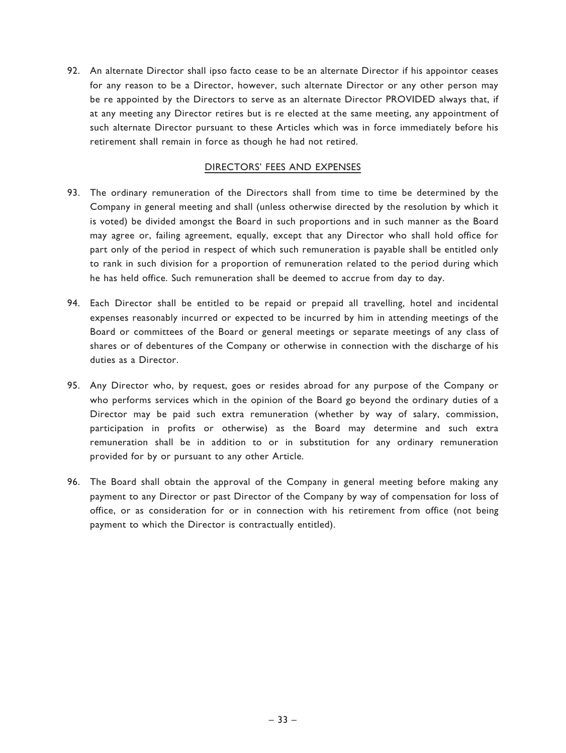92. An alternate Director shall ipso facto cease to be an alternate Director if his appointor ceases for any reason to be a Director, however, such alternate Director or any other person may be re appointed by the Directors to serve as an alternate Director PROVIDED always that, if at any meeting any Director retires but is re elected at the same meeting, any appointment of such alternate Director pursuant to these Articles which was in force immediately before his retirement shall remain in force as though he had not retired.

## DIRECTORS' FEES AND EXPENSES

- 93. The ordinary remuneration of the Directors shall from time to time be determined by the Company in general meeting and shall (unless otherwise directed by the resolution by which it is voted) be divided amongst the Board in such proportions and in such manner as the Board may agree or, failing agreement, equally, except that any Director who shall hold office for part only of the period in respect of which such remuneration is payable shall be entitled only to rank in such division for a proportion of remuneration related to the period during which he has held office. Such remuneration shall be deemed to accrue from day to day.
- 94. Each Director shall be entitled to be repaid or prepaid all travelling, hotel and incidental expenses reasonably incurred or expected to be incurred by him in attending meetings of the Board or committees of the Board or general meetings or separate meetings of any class of shares or of debentures of the Company or otherwise in connection with the discharge of his duties as a Director.
- 95. Any Director who, by request, goes or resides abroad for any purpose of the Company or who performs services which in the opinion of the Board go beyond the ordinary duties of a Director may be paid such extra remuneration (whether by way of salary, commission, participation in profits or otherwise) as the Board may determine and such extra remuneration shall be in addition to or in substitution for any ordinary remuneration provided for by or pursuant to any other Article.
- 96. The Board shall obtain the approval of the Company in general meeting before making any payment to any Director or past Director of the Company by way of compensation for loss of office, or as consideration for or in connection with his retirement from office (not being payment to which the Director is contractually entitled).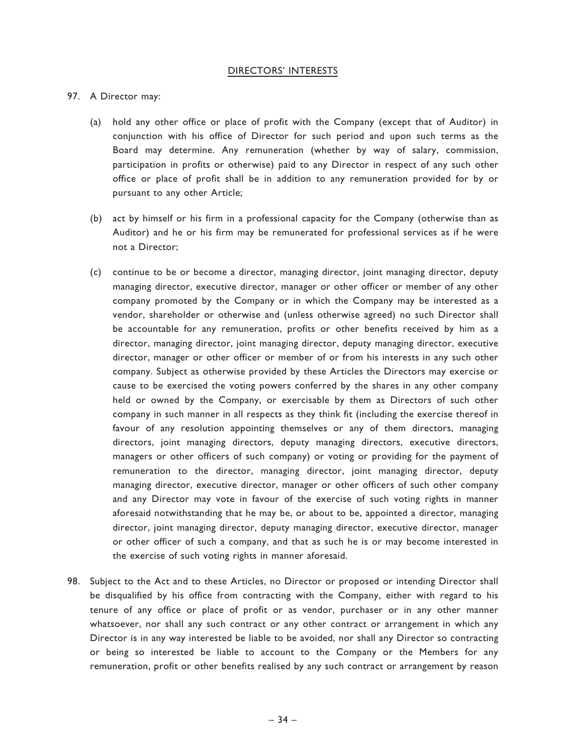### DIRECTORS' INTERESTS

## 97. A Director may:

- (a) hold any other office or place of profit with the Company (except that of Auditor) in conjunction with his office of Director for such period and upon such terms as the Board may determine. Any remuneration (whether by way of salary, commission, participation in profits or otherwise) paid to any Director in respect of any such other office or place of profit shall be in addition to any remuneration provided for by or pursuant to any other Article;
- (b) act by himself or his firm in a professional capacity for the Company (otherwise than as Auditor) and he or his firm may be remunerated for professional services as if he were not a Director;
- (c) continue to be or become a director, managing director, joint managing director, deputy managing director, executive director, manager or other officer or member of any other company promoted by the Company or in which the Company may be interested as a vendor, shareholder or otherwise and (unless otherwise agreed) no such Director shall be accountable for any remuneration, profits or other benefits received by him as a director, managing director, joint managing director, deputy managing director, executive director, manager or other officer or member of or from his interests in any such other company. Subject as otherwise provided by these Articles the Directors may exercise or cause to be exercised the voting powers conferred by the shares in any other company held or owned by the Company, or exercisable by them as Directors of such other company in such manner in all respects as they think fit (including the exercise thereof in favour of any resolution appointing themselves or any of them directors, managing directors, joint managing directors, deputy managing directors, executive directors, managers or other officers of such company) or voting or providing for the payment of remuneration to the director, managing director, joint managing director, deputy managing director, executive director, manager or other officers of such other company and any Director may vote in favour of the exercise of such voting rights in manner aforesaid notwithstanding that he may be, or about to be, appointed a director, managing director, joint managing director, deputy managing director, executive director, manager or other officer of such a company, and that as such he is or may become interested in the exercise of such voting rights in manner aforesaid.
- 98. Subject to the Act and to these Articles, no Director or proposed or intending Director shall be disqualified by his office from contracting with the Company, either with regard to his tenure of any office or place of profit or as vendor, purchaser or in any other manner whatsoever, nor shall any such contract or any other contract or arrangement in which any Director is in any way interested be liable to be avoided, nor shall any Director so contracting or being so interested be liable to account to the Company or the Members for any remuneration, profit or other benefits realised by any such contract or arrangement by reason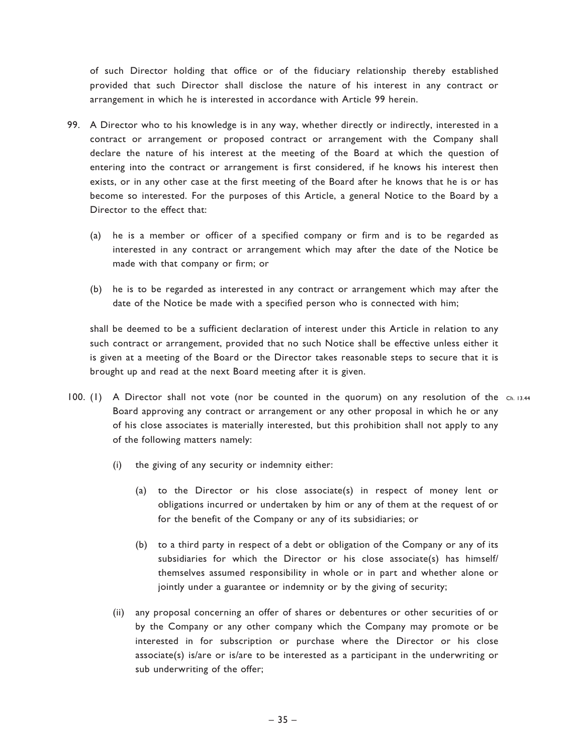of such Director holding that office or of the fiduciary relationship thereby established provided that such Director shall disclose the nature of his interest in any contract or arrangement in which he is interested in accordance with Article 99 herein.

- 99. A Director who to his knowledge is in any way, whether directly or indirectly, interested in a contract or arrangement or proposed contract or arrangement with the Company shall declare the nature of his interest at the meeting of the Board at which the question of entering into the contract or arrangement is first considered, if he knows his interest then exists, or in any other case at the first meeting of the Board after he knows that he is or has become so interested. For the purposes of this Article, a general Notice to the Board by a Director to the effect that:
	- (a) he is a member or officer of a specified company or firm and is to be regarded as interested in any contract or arrangement which may after the date of the Notice be made with that company or firm; or
	- (b) he is to be regarded as interested in any contract or arrangement which may after the date of the Notice be made with a specified person who is connected with him;

shall be deemed to be a sufficient declaration of interest under this Article in relation to any such contract or arrangement, provided that no such Notice shall be effective unless either it is given at a meeting of the Board or the Director takes reasonable steps to secure that it is brought up and read at the next Board meeting after it is given.

- 100. (1) A Director shall not vote (nor be counted in the quorum) on any resolution of the ch. 13.44 Board approving any contract or arrangement or any other proposal in which he or any of his close associates is materially interested, but this prohibition shall not apply to any of the following matters namely:
	- (i) the giving of any security or indemnity either:
		- (a) to the Director or his close associate(s) in respect of money lent or obligations incurred or undertaken by him or any of them at the request of or for the benefit of the Company or any of its subsidiaries; or
		- (b) to a third party in respect of a debt or obligation of the Company or any of its subsidiaries for which the Director or his close associate(s) has himself/ themselves assumed responsibility in whole or in part and whether alone or jointly under a guarantee or indemnity or by the giving of security;
	- (ii) any proposal concerning an offer of shares or debentures or other securities of or by the Company or any other company which the Company may promote or be interested in for subscription or purchase where the Director or his close associate(s) is/are or is/are to be interested as a participant in the underwriting or sub underwriting of the offer;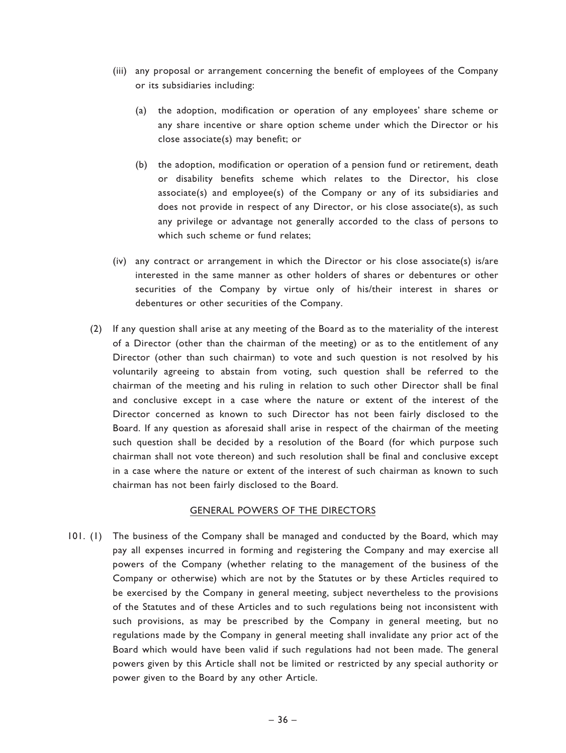- (iii) any proposal or arrangement concerning the benefit of employees of the Company or its subsidiaries including:
	- (a) the adoption, modification or operation of any employees' share scheme or any share incentive or share option scheme under which the Director or his close associate(s) may benefit; or
	- (b) the adoption, modification or operation of a pension fund or retirement, death or disability benefits scheme which relates to the Director, his close associate(s) and employee(s) of the Company or any of its subsidiaries and does not provide in respect of any Director, or his close associate(s), as such any privilege or advantage not generally accorded to the class of persons to which such scheme or fund relates;
- (iv) any contract or arrangement in which the Director or his close associate(s) is/are interested in the same manner as other holders of shares or debentures or other securities of the Company by virtue only of his/their interest in shares or debentures or other securities of the Company.
- (2) If any question shall arise at any meeting of the Board as to the materiality of the interest of a Director (other than the chairman of the meeting) or as to the entitlement of any Director (other than such chairman) to vote and such question is not resolved by his voluntarily agreeing to abstain from voting, such question shall be referred to the chairman of the meeting and his ruling in relation to such other Director shall be final and conclusive except in a case where the nature or extent of the interest of the Director concerned as known to such Director has not been fairly disclosed to the Board. If any question as aforesaid shall arise in respect of the chairman of the meeting such question shall be decided by a resolution of the Board (for which purpose such chairman shall not vote thereon) and such resolution shall be final and conclusive except in a case where the nature or extent of the interest of such chairman as known to such chairman has not been fairly disclosed to the Board.

## GENERAL POWERS OF THE DIRECTORS

101. (1) The business of the Company shall be managed and conducted by the Board, which may pay all expenses incurred in forming and registering the Company and may exercise all powers of the Company (whether relating to the management of the business of the Company or otherwise) which are not by the Statutes or by these Articles required to be exercised by the Company in general meeting, subject nevertheless to the provisions of the Statutes and of these Articles and to such regulations being not inconsistent with such provisions, as may be prescribed by the Company in general meeting, but no regulations made by the Company in general meeting shall invalidate any prior act of the Board which would have been valid if such regulations had not been made. The general powers given by this Article shall not be limited or restricted by any special authority or power given to the Board by any other Article.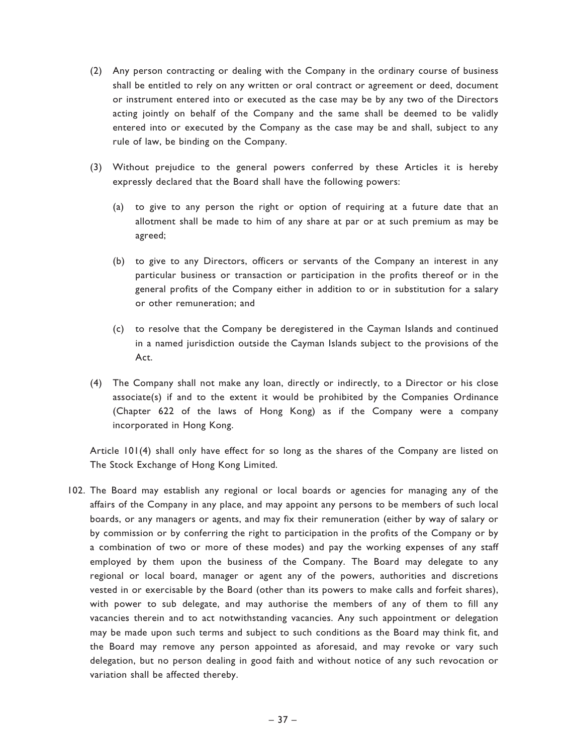- (2) Any person contracting or dealing with the Company in the ordinary course of business shall be entitled to rely on any written or oral contract or agreement or deed, document or instrument entered into or executed as the case may be by any two of the Directors acting jointly on behalf of the Company and the same shall be deemed to be validly entered into or executed by the Company as the case may be and shall, subject to any rule of law, be binding on the Company.
- (3) Without prejudice to the general powers conferred by these Articles it is hereby expressly declared that the Board shall have the following powers:
	- (a) to give to any person the right or option of requiring at a future date that an allotment shall be made to him of any share at par or at such premium as may be agreed;
	- (b) to give to any Directors, officers or servants of the Company an interest in any particular business or transaction or participation in the profits thereof or in the general profits of the Company either in addition to or in substitution for a salary or other remuneration; and
	- (c) to resolve that the Company be deregistered in the Cayman Islands and continued in a named jurisdiction outside the Cayman Islands subject to the provisions of the Act.
- (4) The Company shall not make any loan, directly or indirectly, to a Director or his close associate(s) if and to the extent it would be prohibited by the Companies Ordinance (Chapter 622 of the laws of Hong Kong) as if the Company were a company incorporated in Hong Kong.

Article 101(4) shall only have effect for so long as the shares of the Company are listed on The Stock Exchange of Hong Kong Limited.

102. The Board may establish any regional or local boards or agencies for managing any of the affairs of the Company in any place, and may appoint any persons to be members of such local boards, or any managers or agents, and may fix their remuneration (either by way of salary or by commission or by conferring the right to participation in the profits of the Company or by a combination of two or more of these modes) and pay the working expenses of any staff employed by them upon the business of the Company. The Board may delegate to any regional or local board, manager or agent any of the powers, authorities and discretions vested in or exercisable by the Board (other than its powers to make calls and forfeit shares), with power to sub delegate, and may authorise the members of any of them to fill any vacancies therein and to act notwithstanding vacancies. Any such appointment or delegation may be made upon such terms and subject to such conditions as the Board may think fit, and the Board may remove any person appointed as aforesaid, and may revoke or vary such delegation, but no person dealing in good faith and without notice of any such revocation or variation shall be affected thereby.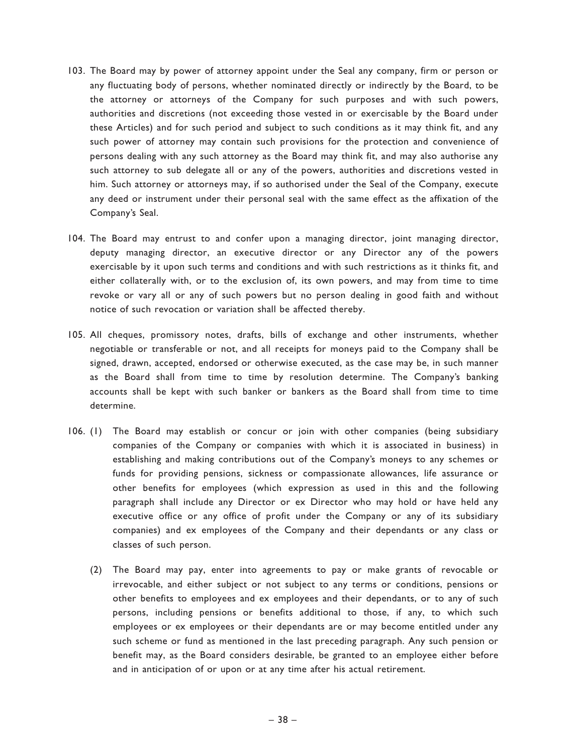- 103. The Board may by power of attorney appoint under the Seal any company, firm or person or any fluctuating body of persons, whether nominated directly or indirectly by the Board, to be the attorney or attorneys of the Company for such purposes and with such powers, authorities and discretions (not exceeding those vested in or exercisable by the Board under these Articles) and for such period and subject to such conditions as it may think fit, and any such power of attorney may contain such provisions for the protection and convenience of persons dealing with any such attorney as the Board may think fit, and may also authorise any such attorney to sub delegate all or any of the powers, authorities and discretions vested in him. Such attorney or attorneys may, if so authorised under the Seal of the Company, execute any deed or instrument under their personal seal with the same effect as the affixation of the Company's Seal.
- 104. The Board may entrust to and confer upon a managing director, joint managing director, deputy managing director, an executive director or any Director any of the powers exercisable by it upon such terms and conditions and with such restrictions as it thinks fit, and either collaterally with, or to the exclusion of, its own powers, and may from time to time revoke or vary all or any of such powers but no person dealing in good faith and without notice of such revocation or variation shall be affected thereby.
- 105. All cheques, promissory notes, drafts, bills of exchange and other instruments, whether negotiable or transferable or not, and all receipts for moneys paid to the Company shall be signed, drawn, accepted, endorsed or otherwise executed, as the case may be, in such manner as the Board shall from time to time by resolution determine. The Company's banking accounts shall be kept with such banker or bankers as the Board shall from time to time determine.
- 106. (1) The Board may establish or concur or join with other companies (being subsidiary companies of the Company or companies with which it is associated in business) in establishing and making contributions out of the Company's moneys to any schemes or funds for providing pensions, sickness or compassionate allowances, life assurance or other benefits for employees (which expression as used in this and the following paragraph shall include any Director or ex Director who may hold or have held any executive office or any office of profit under the Company or any of its subsidiary companies) and ex employees of the Company and their dependants or any class or classes of such person.
	- (2) The Board may pay, enter into agreements to pay or make grants of revocable or irrevocable, and either subject or not subject to any terms or conditions, pensions or other benefits to employees and ex employees and their dependants, or to any of such persons, including pensions or benefits additional to those, if any, to which such employees or ex employees or their dependants are or may become entitled under any such scheme or fund as mentioned in the last preceding paragraph. Any such pension or benefit may, as the Board considers desirable, be granted to an employee either before and in anticipation of or upon or at any time after his actual retirement.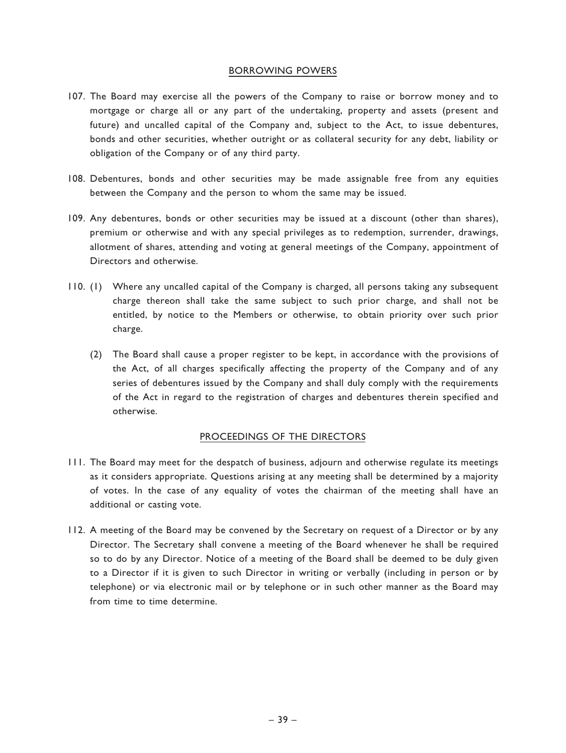## BORROWING POWERS

- 107. The Board may exercise all the powers of the Company to raise or borrow money and to mortgage or charge all or any part of the undertaking, property and assets (present and future) and uncalled capital of the Company and, subject to the Act, to issue debentures, bonds and other securities, whether outright or as collateral security for any debt, liability or obligation of the Company or of any third party.
- 108. Debentures, bonds and other securities may be made assignable free from any equities between the Company and the person to whom the same may be issued.
- 109. Any debentures, bonds or other securities may be issued at a discount (other than shares), premium or otherwise and with any special privileges as to redemption, surrender, drawings, allotment of shares, attending and voting at general meetings of the Company, appointment of Directors and otherwise.
- 110. (1) Where any uncalled capital of the Company is charged, all persons taking any subsequent charge thereon shall take the same subject to such prior charge, and shall not be entitled, by notice to the Members or otherwise, to obtain priority over such prior charge.
	- (2) The Board shall cause a proper register to be kept, in accordance with the provisions of the Act, of all charges specifically affecting the property of the Company and of any series of debentures issued by the Company and shall duly comply with the requirements of the Act in regard to the registration of charges and debentures therein specified and otherwise.

## PROCEEDINGS OF THE DIRECTORS

- 111. The Board may meet for the despatch of business, adjourn and otherwise regulate its meetings as it considers appropriate. Questions arising at any meeting shall be determined by a majority of votes. In the case of any equality of votes the chairman of the meeting shall have an additional or casting vote.
- 112. A meeting of the Board may be convened by the Secretary on request of a Director or by any Director. The Secretary shall convene a meeting of the Board whenever he shall be required so to do by any Director. Notice of a meeting of the Board shall be deemed to be duly given to a Director if it is given to such Director in writing or verbally (including in person or by telephone) or via electronic mail or by telephone or in such other manner as the Board may from time to time determine.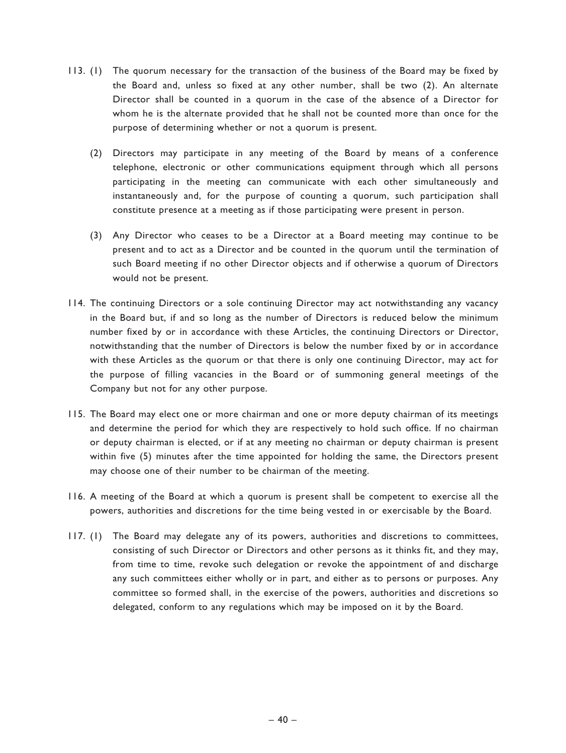- 113. (1) The quorum necessary for the transaction of the business of the Board may be fixed by the Board and, unless so fixed at any other number, shall be two (2). An alternate Director shall be counted in a quorum in the case of the absence of a Director for whom he is the alternate provided that he shall not be counted more than once for the purpose of determining whether or not a quorum is present.
	- (2) Directors may participate in any meeting of the Board by means of a conference telephone, electronic or other communications equipment through which all persons participating in the meeting can communicate with each other simultaneously and instantaneously and, for the purpose of counting a quorum, such participation shall constitute presence at a meeting as if those participating were present in person.
	- (3) Any Director who ceases to be a Director at a Board meeting may continue to be present and to act as a Director and be counted in the quorum until the termination of such Board meeting if no other Director objects and if otherwise a quorum of Directors would not be present.
- 114. The continuing Directors or a sole continuing Director may act notwithstanding any vacancy in the Board but, if and so long as the number of Directors is reduced below the minimum number fixed by or in accordance with these Articles, the continuing Directors or Director, notwithstanding that the number of Directors is below the number fixed by or in accordance with these Articles as the quorum or that there is only one continuing Director, may act for the purpose of filling vacancies in the Board or of summoning general meetings of the Company but not for any other purpose.
- 115. The Board may elect one or more chairman and one or more deputy chairman of its meetings and determine the period for which they are respectively to hold such office. If no chairman or deputy chairman is elected, or if at any meeting no chairman or deputy chairman is present within five (5) minutes after the time appointed for holding the same, the Directors present may choose one of their number to be chairman of the meeting.
- 116. A meeting of the Board at which a quorum is present shall be competent to exercise all the powers, authorities and discretions for the time being vested in or exercisable by the Board.
- 117. (1) The Board may delegate any of its powers, authorities and discretions to committees, consisting of such Director or Directors and other persons as it thinks fit, and they may, from time to time, revoke such delegation or revoke the appointment of and discharge any such committees either wholly or in part, and either as to persons or purposes. Any committee so formed shall, in the exercise of the powers, authorities and discretions so delegated, conform to any regulations which may be imposed on it by the Board.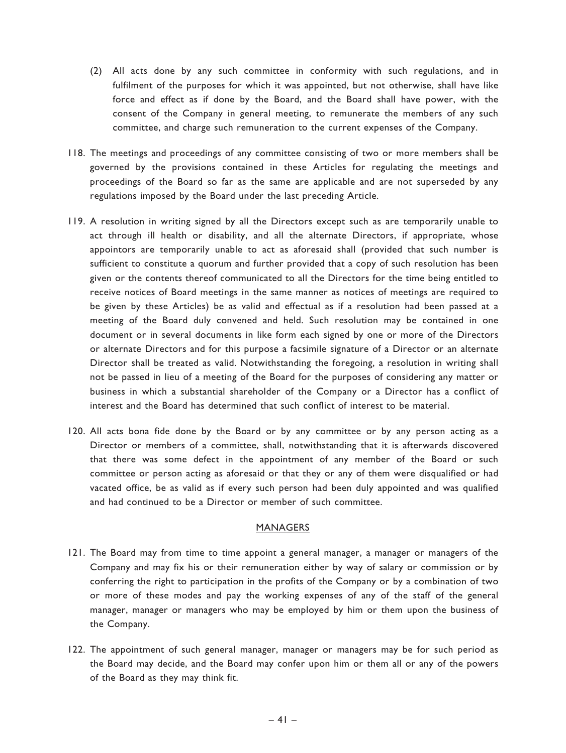- (2) All acts done by any such committee in conformity with such regulations, and in fulfilment of the purposes for which it was appointed, but not otherwise, shall have like force and effect as if done by the Board, and the Board shall have power, with the consent of the Company in general meeting, to remunerate the members of any such committee, and charge such remuneration to the current expenses of the Company.
- 118. The meetings and proceedings of any committee consisting of two or more members shall be governed by the provisions contained in these Articles for regulating the meetings and proceedings of the Board so far as the same are applicable and are not superseded by any regulations imposed by the Board under the last preceding Article.
- 119. A resolution in writing signed by all the Directors except such as are temporarily unable to act through ill health or disability, and all the alternate Directors, if appropriate, whose appointors are temporarily unable to act as aforesaid shall (provided that such number is sufficient to constitute a quorum and further provided that a copy of such resolution has been given or the contents thereof communicated to all the Directors for the time being entitled to receive notices of Board meetings in the same manner as notices of meetings are required to be given by these Articles) be as valid and effectual as if a resolution had been passed at a meeting of the Board duly convened and held. Such resolution may be contained in one document or in several documents in like form each signed by one or more of the Directors or alternate Directors and for this purpose a facsimile signature of a Director or an alternate Director shall be treated as valid. Notwithstanding the foregoing, a resolution in writing shall not be passed in lieu of a meeting of the Board for the purposes of considering any matter or business in which a substantial shareholder of the Company or a Director has a conflict of interest and the Board has determined that such conflict of interest to be material.
- 120. All acts bona fide done by the Board or by any committee or by any person acting as a Director or members of a committee, shall, notwithstanding that it is afterwards discovered that there was some defect in the appointment of any member of the Board or such committee or person acting as aforesaid or that they or any of them were disqualified or had vacated office, be as valid as if every such person had been duly appointed and was qualified and had continued to be a Director or member of such committee.

### MANAGERS

- 121. The Board may from time to time appoint a general manager, a manager or managers of the Company and may fix his or their remuneration either by way of salary or commission or by conferring the right to participation in the profits of the Company or by a combination of two or more of these modes and pay the working expenses of any of the staff of the general manager, manager or managers who may be employed by him or them upon the business of the Company.
- 122. The appointment of such general manager, manager or managers may be for such period as the Board may decide, and the Board may confer upon him or them all or any of the powers of the Board as they may think fit.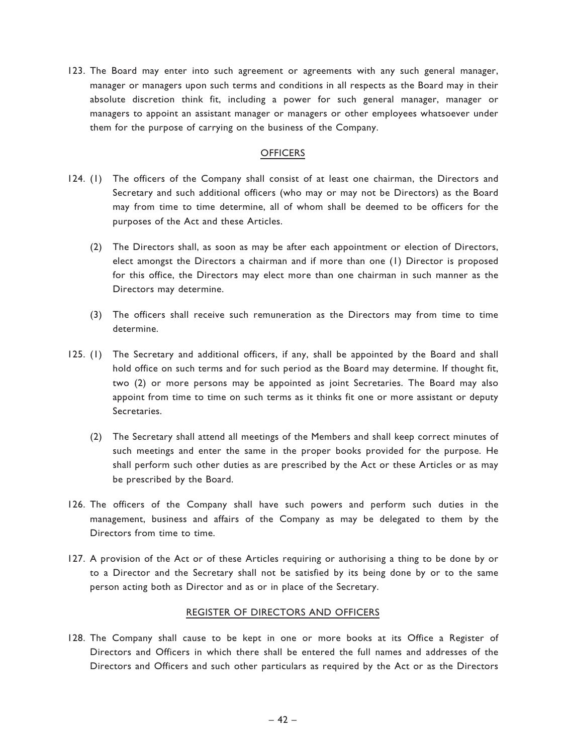123. The Board may enter into such agreement or agreements with any such general manager, manager or managers upon such terms and conditions in all respects as the Board may in their absolute discretion think fit, including a power for such general manager, manager or managers to appoint an assistant manager or managers or other employees whatsoever under them for the purpose of carrying on the business of the Company.

## **OFFICERS**

- 124. (1) The officers of the Company shall consist of at least one chairman, the Directors and Secretary and such additional officers (who may or may not be Directors) as the Board may from time to time determine, all of whom shall be deemed to be officers for the purposes of the Act and these Articles.
	- (2) The Directors shall, as soon as may be after each appointment or election of Directors, elect amongst the Directors a chairman and if more than one (1) Director is proposed for this office, the Directors may elect more than one chairman in such manner as the Directors may determine.
	- (3) The officers shall receive such remuneration as the Directors may from time to time determine.
- 125. (1) The Secretary and additional officers, if any, shall be appointed by the Board and shall hold office on such terms and for such period as the Board may determine. If thought fit, two (2) or more persons may be appointed as joint Secretaries. The Board may also appoint from time to time on such terms as it thinks fit one or more assistant or deputy Secretaries.
	- (2) The Secretary shall attend all meetings of the Members and shall keep correct minutes of such meetings and enter the same in the proper books provided for the purpose. He shall perform such other duties as are prescribed by the Act or these Articles or as may be prescribed by the Board.
- 126. The officers of the Company shall have such powers and perform such duties in the management, business and affairs of the Company as may be delegated to them by the Directors from time to time.
- 127. A provision of the Act or of these Articles requiring or authorising a thing to be done by or to a Director and the Secretary shall not be satisfied by its being done by or to the same person acting both as Director and as or in place of the Secretary.

### REGISTER OF DIRECTORS AND OFFICERS

128. The Company shall cause to be kept in one or more books at its Office a Register of Directors and Officers in which there shall be entered the full names and addresses of the Directors and Officers and such other particulars as required by the Act or as the Directors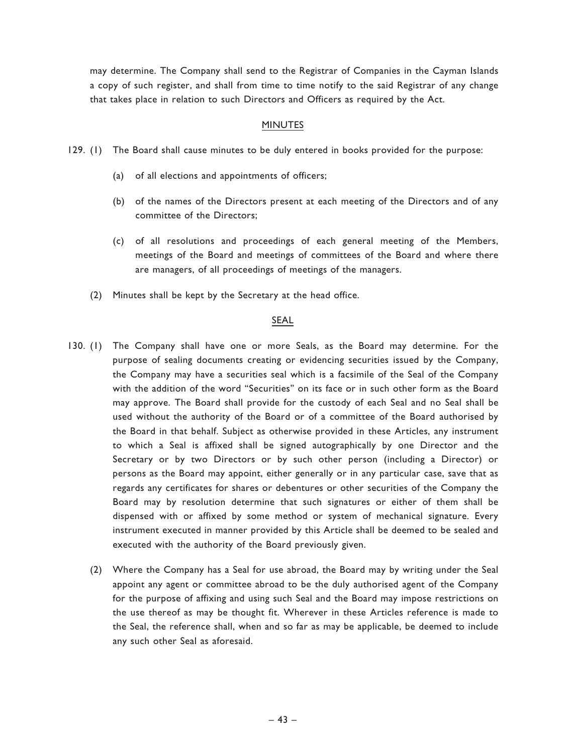may determine. The Company shall send to the Registrar of Companies in the Cayman Islands a copy of such register, and shall from time to time notify to the said Registrar of any change that takes place in relation to such Directors and Officers as required by the Act.

## MINUTES

- 129. (1) The Board shall cause minutes to be duly entered in books provided for the purpose:
	- (a) of all elections and appointments of officers;
	- (b) of the names of the Directors present at each meeting of the Directors and of any committee of the Directors;
	- (c) of all resolutions and proceedings of each general meeting of the Members, meetings of the Board and meetings of committees of the Board and where there are managers, of all proceedings of meetings of the managers.
	- (2) Minutes shall be kept by the Secretary at the head office.

## SEAL

- 130. (1) The Company shall have one or more Seals, as the Board may determine. For the purpose of sealing documents creating or evidencing securities issued by the Company, the Company may have a securities seal which is a facsimile of the Seal of the Company with the addition of the word ''Securities'' on its face or in such other form as the Board may approve. The Board shall provide for the custody of each Seal and no Seal shall be used without the authority of the Board or of a committee of the Board authorised by the Board in that behalf. Subject as otherwise provided in these Articles, any instrument to which a Seal is affixed shall be signed autographically by one Director and the Secretary or by two Directors or by such other person (including a Director) or persons as the Board may appoint, either generally or in any particular case, save that as regards any certificates for shares or debentures or other securities of the Company the Board may by resolution determine that such signatures or either of them shall be dispensed with or affixed by some method or system of mechanical signature. Every instrument executed in manner provided by this Article shall be deemed to be sealed and executed with the authority of the Board previously given.
	- (2) Where the Company has a Seal for use abroad, the Board may by writing under the Seal appoint any agent or committee abroad to be the duly authorised agent of the Company for the purpose of affixing and using such Seal and the Board may impose restrictions on the use thereof as may be thought fit. Wherever in these Articles reference is made to the Seal, the reference shall, when and so far as may be applicable, be deemed to include any such other Seal as aforesaid.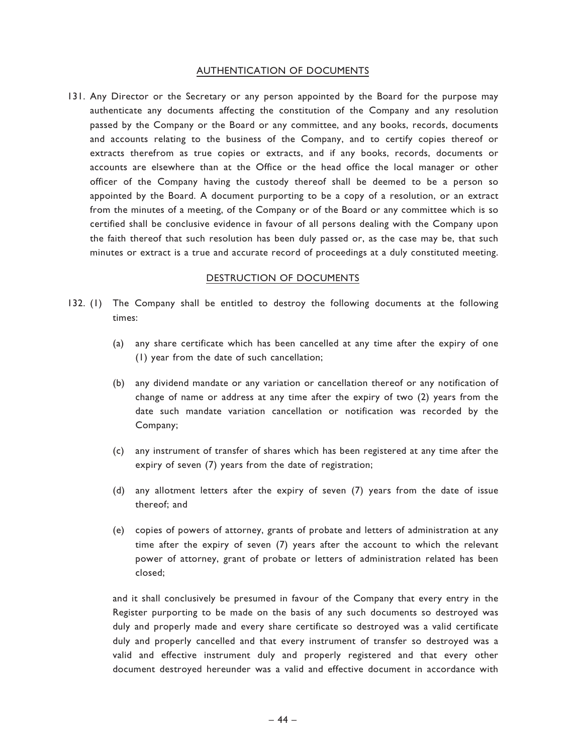### AUTHENTICATION OF DOCUMENTS

131. Any Director or the Secretary or any person appointed by the Board for the purpose may authenticate any documents affecting the constitution of the Company and any resolution passed by the Company or the Board or any committee, and any books, records, documents and accounts relating to the business of the Company, and to certify copies thereof or extracts therefrom as true copies or extracts, and if any books, records, documents or accounts are elsewhere than at the Office or the head office the local manager or other officer of the Company having the custody thereof shall be deemed to be a person so appointed by the Board. A document purporting to be a copy of a resolution, or an extract from the minutes of a meeting, of the Company or of the Board or any committee which is so certified shall be conclusive evidence in favour of all persons dealing with the Company upon the faith thereof that such resolution has been duly passed or, as the case may be, that such minutes or extract is a true and accurate record of proceedings at a duly constituted meeting.

### DESTRUCTION OF DOCUMENTS

- 132. (1) The Company shall be entitled to destroy the following documents at the following times:
	- (a) any share certificate which has been cancelled at any time after the expiry of one (1) year from the date of such cancellation;
	- (b) any dividend mandate or any variation or cancellation thereof or any notification of change of name or address at any time after the expiry of two (2) years from the date such mandate variation cancellation or notification was recorded by the Company;
	- (c) any instrument of transfer of shares which has been registered at any time after the expiry of seven (7) years from the date of registration;
	- (d) any allotment letters after the expiry of seven (7) years from the date of issue thereof; and
	- (e) copies of powers of attorney, grants of probate and letters of administration at any time after the expiry of seven (7) years after the account to which the relevant power of attorney, grant of probate or letters of administration related has been closed;

and it shall conclusively be presumed in favour of the Company that every entry in the Register purporting to be made on the basis of any such documents so destroyed was duly and properly made and every share certificate so destroyed was a valid certificate duly and properly cancelled and that every instrument of transfer so destroyed was a valid and effective instrument duly and properly registered and that every other document destroyed hereunder was a valid and effective document in accordance with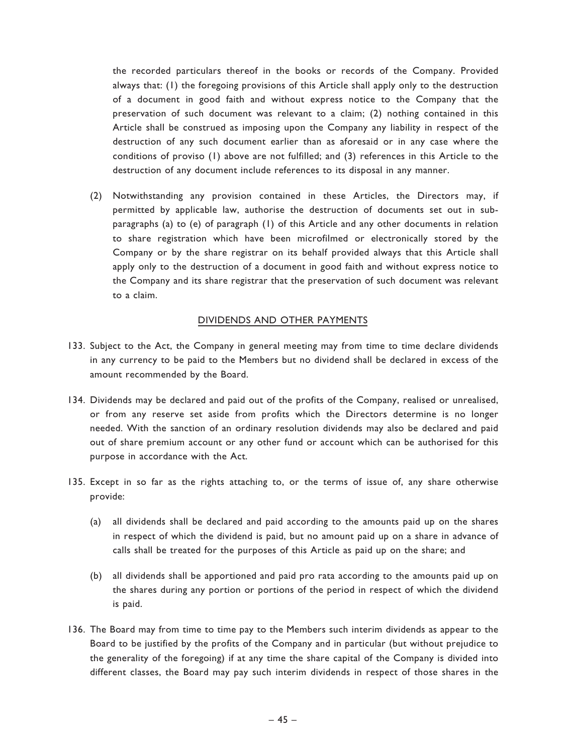the recorded particulars thereof in the books or records of the Company. Provided always that: (1) the foregoing provisions of this Article shall apply only to the destruction of a document in good faith and without express notice to the Company that the preservation of such document was relevant to a claim; (2) nothing contained in this Article shall be construed as imposing upon the Company any liability in respect of the destruction of any such document earlier than as aforesaid or in any case where the conditions of proviso (1) above are not fulfilled; and (3) references in this Article to the destruction of any document include references to its disposal in any manner.

(2) Notwithstanding any provision contained in these Articles, the Directors may, if permitted by applicable law, authorise the destruction of documents set out in subparagraphs (a) to (e) of paragraph (1) of this Article and any other documents in relation to share registration which have been microfilmed or electronically stored by the Company or by the share registrar on its behalf provided always that this Article shall apply only to the destruction of a document in good faith and without express notice to the Company and its share registrar that the preservation of such document was relevant to a claim.

## DIVIDENDS AND OTHER PAYMENTS

- 133. Subject to the Act, the Company in general meeting may from time to time declare dividends in any currency to be paid to the Members but no dividend shall be declared in excess of the amount recommended by the Board.
- 134. Dividends may be declared and paid out of the profits of the Company, realised or unrealised, or from any reserve set aside from profits which the Directors determine is no longer needed. With the sanction of an ordinary resolution dividends may also be declared and paid out of share premium account or any other fund or account which can be authorised for this purpose in accordance with the Act.
- 135. Except in so far as the rights attaching to, or the terms of issue of, any share otherwise provide:
	- (a) all dividends shall be declared and paid according to the amounts paid up on the shares in respect of which the dividend is paid, but no amount paid up on a share in advance of calls shall be treated for the purposes of this Article as paid up on the share; and
	- (b) all dividends shall be apportioned and paid pro rata according to the amounts paid up on the shares during any portion or portions of the period in respect of which the dividend is paid.
- 136. The Board may from time to time pay to the Members such interim dividends as appear to the Board to be justified by the profits of the Company and in particular (but without prejudice to the generality of the foregoing) if at any time the share capital of the Company is divided into different classes, the Board may pay such interim dividends in respect of those shares in the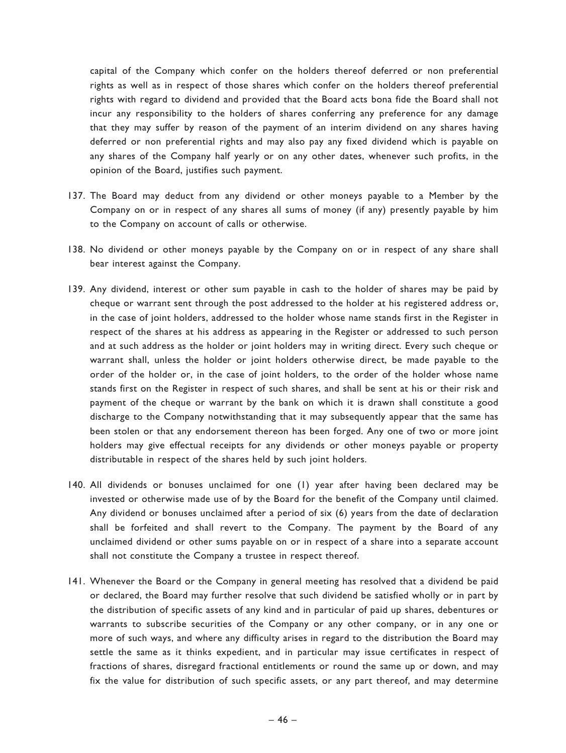capital of the Company which confer on the holders thereof deferred or non preferential rights as well as in respect of those shares which confer on the holders thereof preferential rights with regard to dividend and provided that the Board acts bona fide the Board shall not incur any responsibility to the holders of shares conferring any preference for any damage that they may suffer by reason of the payment of an interim dividend on any shares having deferred or non preferential rights and may also pay any fixed dividend which is payable on any shares of the Company half yearly or on any other dates, whenever such profits, in the opinion of the Board, justifies such payment.

- 137. The Board may deduct from any dividend or other moneys payable to a Member by the Company on or in respect of any shares all sums of money (if any) presently payable by him to the Company on account of calls or otherwise.
- 138. No dividend or other moneys payable by the Company on or in respect of any share shall bear interest against the Company.
- 139. Any dividend, interest or other sum payable in cash to the holder of shares may be paid by cheque or warrant sent through the post addressed to the holder at his registered address or, in the case of joint holders, addressed to the holder whose name stands first in the Register in respect of the shares at his address as appearing in the Register or addressed to such person and at such address as the holder or joint holders may in writing direct. Every such cheque or warrant shall, unless the holder or joint holders otherwise direct, be made payable to the order of the holder or, in the case of joint holders, to the order of the holder whose name stands first on the Register in respect of such shares, and shall be sent at his or their risk and payment of the cheque or warrant by the bank on which it is drawn shall constitute a good discharge to the Company notwithstanding that it may subsequently appear that the same has been stolen or that any endorsement thereon has been forged. Any one of two or more joint holders may give effectual receipts for any dividends or other moneys payable or property distributable in respect of the shares held by such joint holders.
- 140. All dividends or bonuses unclaimed for one (1) year after having been declared may be invested or otherwise made use of by the Board for the benefit of the Company until claimed. Any dividend or bonuses unclaimed after a period of six (6) years from the date of declaration shall be forfeited and shall revert to the Company. The payment by the Board of any unclaimed dividend or other sums payable on or in respect of a share into a separate account shall not constitute the Company a trustee in respect thereof.
- 141. Whenever the Board or the Company in general meeting has resolved that a dividend be paid or declared, the Board may further resolve that such dividend be satisfied wholly or in part by the distribution of specific assets of any kind and in particular of paid up shares, debentures or warrants to subscribe securities of the Company or any other company, or in any one or more of such ways, and where any difficulty arises in regard to the distribution the Board may settle the same as it thinks expedient, and in particular may issue certificates in respect of fractions of shares, disregard fractional entitlements or round the same up or down, and may fix the value for distribution of such specific assets, or any part thereof, and may determine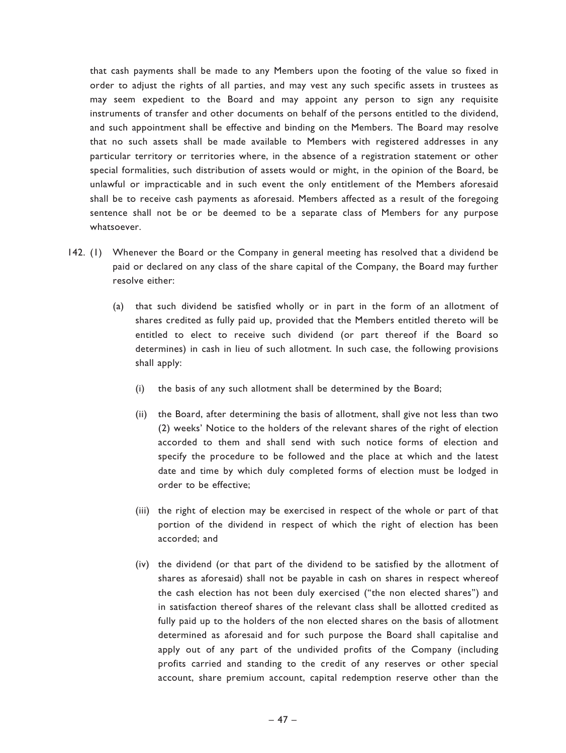that cash payments shall be made to any Members upon the footing of the value so fixed in order to adjust the rights of all parties, and may vest any such specific assets in trustees as may seem expedient to the Board and may appoint any person to sign any requisite instruments of transfer and other documents on behalf of the persons entitled to the dividend, and such appointment shall be effective and binding on the Members. The Board may resolve that no such assets shall be made available to Members with registered addresses in any particular territory or territories where, in the absence of a registration statement or other special formalities, such distribution of assets would or might, in the opinion of the Board, be unlawful or impracticable and in such event the only entitlement of the Members aforesaid shall be to receive cash payments as aforesaid. Members affected as a result of the foregoing sentence shall not be or be deemed to be a separate class of Members for any purpose whatsoever.

- 142. (1) Whenever the Board or the Company in general meeting has resolved that a dividend be paid or declared on any class of the share capital of the Company, the Board may further resolve either:
	- (a) that such dividend be satisfied wholly or in part in the form of an allotment of shares credited as fully paid up, provided that the Members entitled thereto will be entitled to elect to receive such dividend (or part thereof if the Board so determines) in cash in lieu of such allotment. In such case, the following provisions shall apply:
		- (i) the basis of any such allotment shall be determined by the Board;
		- (ii) the Board, after determining the basis of allotment, shall give not less than two (2) weeks' Notice to the holders of the relevant shares of the right of election accorded to them and shall send with such notice forms of election and specify the procedure to be followed and the place at which and the latest date and time by which duly completed forms of election must be lodged in order to be effective;
		- (iii) the right of election may be exercised in respect of the whole or part of that portion of the dividend in respect of which the right of election has been accorded; and
		- (iv) the dividend (or that part of the dividend to be satisfied by the allotment of shares as aforesaid) shall not be payable in cash on shares in respect whereof the cash election has not been duly exercised ("the non elected shares") and in satisfaction thereof shares of the relevant class shall be allotted credited as fully paid up to the holders of the non elected shares on the basis of allotment determined as aforesaid and for such purpose the Board shall capitalise and apply out of any part of the undivided profits of the Company (including profits carried and standing to the credit of any reserves or other special account, share premium account, capital redemption reserve other than the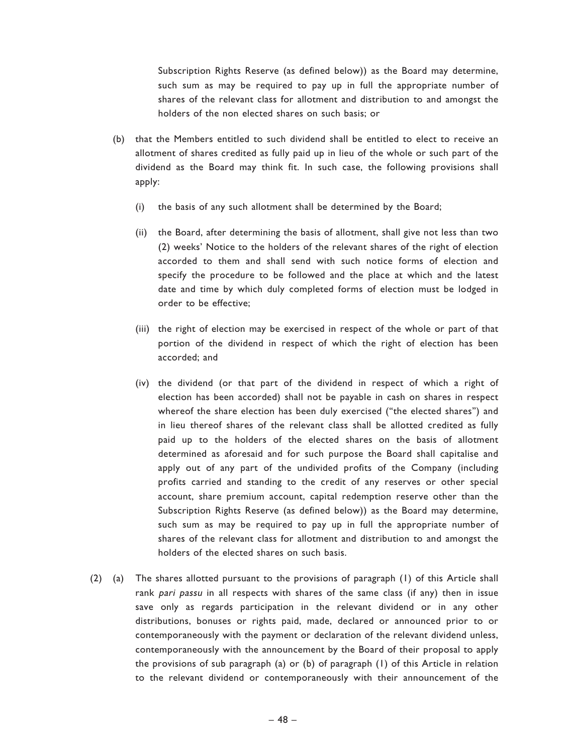Subscription Rights Reserve (as defined below)) as the Board may determine, such sum as may be required to pay up in full the appropriate number of shares of the relevant class for allotment and distribution to and amongst the holders of the non elected shares on such basis; or

- (b) that the Members entitled to such dividend shall be entitled to elect to receive an allotment of shares credited as fully paid up in lieu of the whole or such part of the dividend as the Board may think fit. In such case, the following provisions shall apply:
	- (i) the basis of any such allotment shall be determined by the Board;
	- (ii) the Board, after determining the basis of allotment, shall give not less than two (2) weeks' Notice to the holders of the relevant shares of the right of election accorded to them and shall send with such notice forms of election and specify the procedure to be followed and the place at which and the latest date and time by which duly completed forms of election must be lodged in order to be effective;
	- (iii) the right of election may be exercised in respect of the whole or part of that portion of the dividend in respect of which the right of election has been accorded; and
	- (iv) the dividend (or that part of the dividend in respect of which a right of election has been accorded) shall not be payable in cash on shares in respect whereof the share election has been duly exercised ("the elected shares") and in lieu thereof shares of the relevant class shall be allotted credited as fully paid up to the holders of the elected shares on the basis of allotment determined as aforesaid and for such purpose the Board shall capitalise and apply out of any part of the undivided profits of the Company (including profits carried and standing to the credit of any reserves or other special account, share premium account, capital redemption reserve other than the Subscription Rights Reserve (as defined below)) as the Board may determine, such sum as may be required to pay up in full the appropriate number of shares of the relevant class for allotment and distribution to and amongst the holders of the elected shares on such basis.
- (2) (a) The shares allotted pursuant to the provisions of paragraph (1) of this Article shall rank pari passu in all respects with shares of the same class (if any) then in issue save only as regards participation in the relevant dividend or in any other distributions, bonuses or rights paid, made, declared or announced prior to or contemporaneously with the payment or declaration of the relevant dividend unless, contemporaneously with the announcement by the Board of their proposal to apply the provisions of sub paragraph (a) or (b) of paragraph (1) of this Article in relation to the relevant dividend or contemporaneously with their announcement of the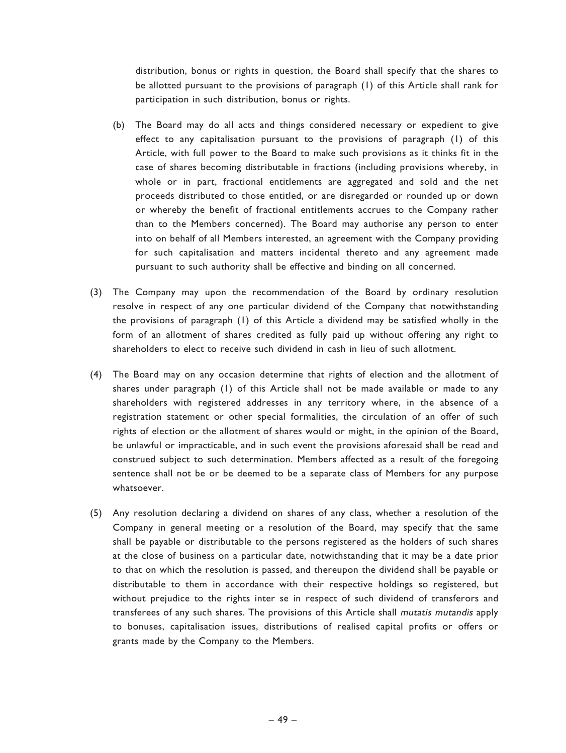distribution, bonus or rights in question, the Board shall specify that the shares to be allotted pursuant to the provisions of paragraph (1) of this Article shall rank for participation in such distribution, bonus or rights.

- (b) The Board may do all acts and things considered necessary or expedient to give effect to any capitalisation pursuant to the provisions of paragraph (1) of this Article, with full power to the Board to make such provisions as it thinks fit in the case of shares becoming distributable in fractions (including provisions whereby, in whole or in part, fractional entitlements are aggregated and sold and the net proceeds distributed to those entitled, or are disregarded or rounded up or down or whereby the benefit of fractional entitlements accrues to the Company rather than to the Members concerned). The Board may authorise any person to enter into on behalf of all Members interested, an agreement with the Company providing for such capitalisation and matters incidental thereto and any agreement made pursuant to such authority shall be effective and binding on all concerned.
- (3) The Company may upon the recommendation of the Board by ordinary resolution resolve in respect of any one particular dividend of the Company that notwithstanding the provisions of paragraph (1) of this Article a dividend may be satisfied wholly in the form of an allotment of shares credited as fully paid up without offering any right to shareholders to elect to receive such dividend in cash in lieu of such allotment.
- (4) The Board may on any occasion determine that rights of election and the allotment of shares under paragraph (1) of this Article shall not be made available or made to any shareholders with registered addresses in any territory where, in the absence of a registration statement or other special formalities, the circulation of an offer of such rights of election or the allotment of shares would or might, in the opinion of the Board, be unlawful or impracticable, and in such event the provisions aforesaid shall be read and construed subject to such determination. Members affected as a result of the foregoing sentence shall not be or be deemed to be a separate class of Members for any purpose whatsoever.
- (5) Any resolution declaring a dividend on shares of any class, whether a resolution of the Company in general meeting or a resolution of the Board, may specify that the same shall be payable or distributable to the persons registered as the holders of such shares at the close of business on a particular date, notwithstanding that it may be a date prior to that on which the resolution is passed, and thereupon the dividend shall be payable or distributable to them in accordance with their respective holdings so registered, but without prejudice to the rights inter se in respect of such dividend of transferors and transferees of any such shares. The provisions of this Article shall mutatis mutandis apply to bonuses, capitalisation issues, distributions of realised capital profits or offers or grants made by the Company to the Members.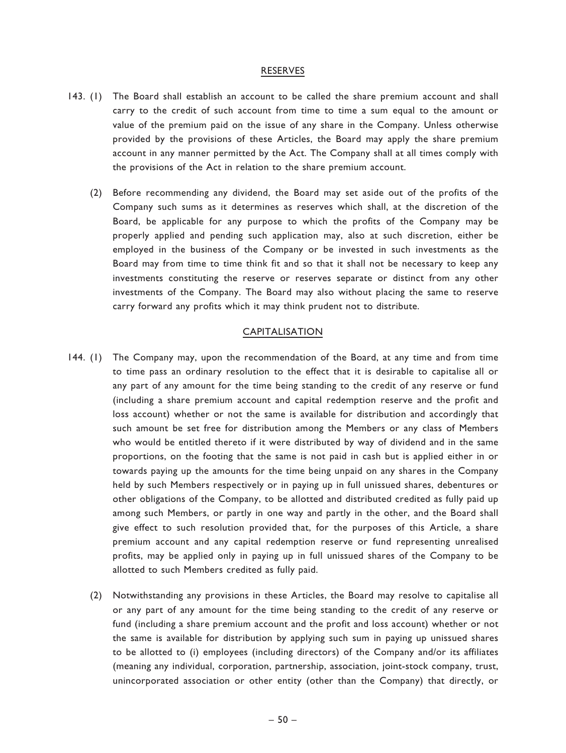#### RESERVES

- 143. (1) The Board shall establish an account to be called the share premium account and shall carry to the credit of such account from time to time a sum equal to the amount or value of the premium paid on the issue of any share in the Company. Unless otherwise provided by the provisions of these Articles, the Board may apply the share premium account in any manner permitted by the Act. The Company shall at all times comply with the provisions of the Act in relation to the share premium account.
	- (2) Before recommending any dividend, the Board may set aside out of the profits of the Company such sums as it determines as reserves which shall, at the discretion of the Board, be applicable for any purpose to which the profits of the Company may be properly applied and pending such application may, also at such discretion, either be employed in the business of the Company or be invested in such investments as the Board may from time to time think fit and so that it shall not be necessary to keep any investments constituting the reserve or reserves separate or distinct from any other investments of the Company. The Board may also without placing the same to reserve carry forward any profits which it may think prudent not to distribute.

## CAPITALISATION

- 144. (1) The Company may, upon the recommendation of the Board, at any time and from time to time pass an ordinary resolution to the effect that it is desirable to capitalise all or any part of any amount for the time being standing to the credit of any reserve or fund (including a share premium account and capital redemption reserve and the profit and loss account) whether or not the same is available for distribution and accordingly that such amount be set free for distribution among the Members or any class of Members who would be entitled thereto if it were distributed by way of dividend and in the same proportions, on the footing that the same is not paid in cash but is applied either in or towards paying up the amounts for the time being unpaid on any shares in the Company held by such Members respectively or in paying up in full unissued shares, debentures or other obligations of the Company, to be allotted and distributed credited as fully paid up among such Members, or partly in one way and partly in the other, and the Board shall give effect to such resolution provided that, for the purposes of this Article, a share premium account and any capital redemption reserve or fund representing unrealised profits, may be applied only in paying up in full unissued shares of the Company to be allotted to such Members credited as fully paid.
	- (2) Notwithstanding any provisions in these Articles, the Board may resolve to capitalise all or any part of any amount for the time being standing to the credit of any reserve or fund (including a share premium account and the profit and loss account) whether or not the same is available for distribution by applying such sum in paying up unissued shares to be allotted to (i) employees (including directors) of the Company and/or its affiliates (meaning any individual, corporation, partnership, association, joint-stock company, trust, unincorporated association or other entity (other than the Company) that directly, or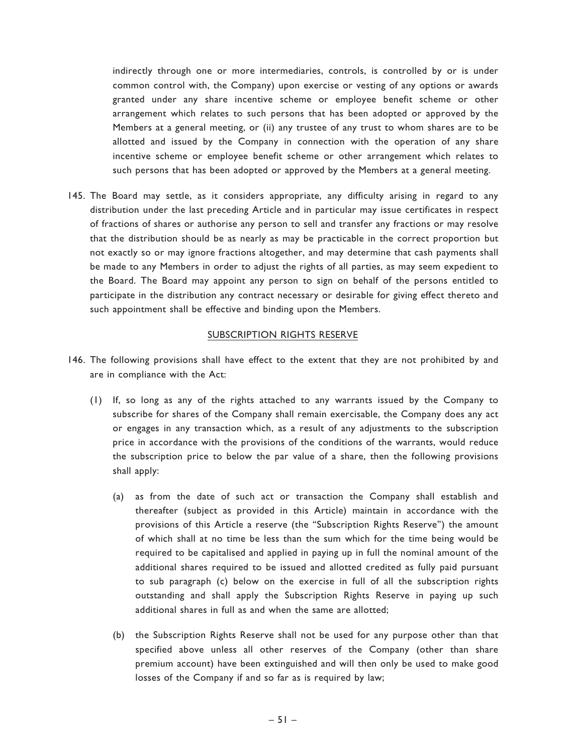indirectly through one or more intermediaries, controls, is controlled by or is under common control with, the Company) upon exercise or vesting of any options or awards granted under any share incentive scheme or employee benefit scheme or other arrangement which relates to such persons that has been adopted or approved by the Members at a general meeting, or (ii) any trustee of any trust to whom shares are to be allotted and issued by the Company in connection with the operation of any share incentive scheme or employee benefit scheme or other arrangement which relates to such persons that has been adopted or approved by the Members at a general meeting.

145. The Board may settle, as it considers appropriate, any difficulty arising in regard to any distribution under the last preceding Article and in particular may issue certificates in respect of fractions of shares or authorise any person to sell and transfer any fractions or may resolve that the distribution should be as nearly as may be practicable in the correct proportion but not exactly so or may ignore fractions altogether, and may determine that cash payments shall be made to any Members in order to adjust the rights of all parties, as may seem expedient to the Board. The Board may appoint any person to sign on behalf of the persons entitled to participate in the distribution any contract necessary or desirable for giving effect thereto and such appointment shall be effective and binding upon the Members.

## SUBSCRIPTION RIGHTS RESERVE

- 146. The following provisions shall have effect to the extent that they are not prohibited by and are in compliance with the Act:
	- (1) If, so long as any of the rights attached to any warrants issued by the Company to subscribe for shares of the Company shall remain exercisable, the Company does any act or engages in any transaction which, as a result of any adjustments to the subscription price in accordance with the provisions of the conditions of the warrants, would reduce the subscription price to below the par value of a share, then the following provisions shall apply:
		- (a) as from the date of such act or transaction the Company shall establish and thereafter (subject as provided in this Article) maintain in accordance with the provisions of this Article a reserve (the ''Subscription Rights Reserve'') the amount of which shall at no time be less than the sum which for the time being would be required to be capitalised and applied in paying up in full the nominal amount of the additional shares required to be issued and allotted credited as fully paid pursuant to sub paragraph (c) below on the exercise in full of all the subscription rights outstanding and shall apply the Subscription Rights Reserve in paying up such additional shares in full as and when the same are allotted;
		- (b) the Subscription Rights Reserve shall not be used for any purpose other than that specified above unless all other reserves of the Company (other than share premium account) have been extinguished and will then only be used to make good losses of the Company if and so far as is required by law;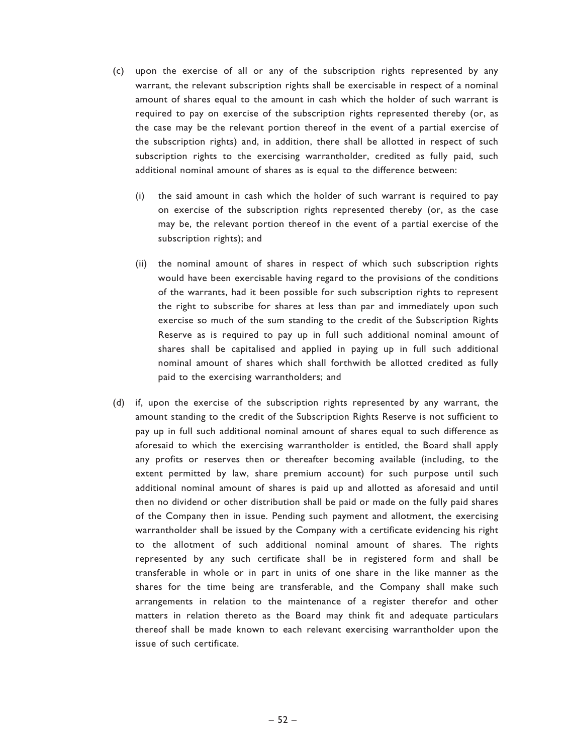- (c) upon the exercise of all or any of the subscription rights represented by any warrant, the relevant subscription rights shall be exercisable in respect of a nominal amount of shares equal to the amount in cash which the holder of such warrant is required to pay on exercise of the subscription rights represented thereby (or, as the case may be the relevant portion thereof in the event of a partial exercise of the subscription rights) and, in addition, there shall be allotted in respect of such subscription rights to the exercising warrantholder, credited as fully paid, such additional nominal amount of shares as is equal to the difference between:
	- (i) the said amount in cash which the holder of such warrant is required to pay on exercise of the subscription rights represented thereby (or, as the case may be, the relevant portion thereof in the event of a partial exercise of the subscription rights); and
	- (ii) the nominal amount of shares in respect of which such subscription rights would have been exercisable having regard to the provisions of the conditions of the warrants, had it been possible for such subscription rights to represent the right to subscribe for shares at less than par and immediately upon such exercise so much of the sum standing to the credit of the Subscription Rights Reserve as is required to pay up in full such additional nominal amount of shares shall be capitalised and applied in paying up in full such additional nominal amount of shares which shall forthwith be allotted credited as fully paid to the exercising warrantholders; and
- (d) if, upon the exercise of the subscription rights represented by any warrant, the amount standing to the credit of the Subscription Rights Reserve is not sufficient to pay up in full such additional nominal amount of shares equal to such difference as aforesaid to which the exercising warrantholder is entitled, the Board shall apply any profits or reserves then or thereafter becoming available (including, to the extent permitted by law, share premium account) for such purpose until such additional nominal amount of shares is paid up and allotted as aforesaid and until then no dividend or other distribution shall be paid or made on the fully paid shares of the Company then in issue. Pending such payment and allotment, the exercising warrantholder shall be issued by the Company with a certificate evidencing his right to the allotment of such additional nominal amount of shares. The rights represented by any such certificate shall be in registered form and shall be transferable in whole or in part in units of one share in the like manner as the shares for the time being are transferable, and the Company shall make such arrangements in relation to the maintenance of a register therefor and other matters in relation thereto as the Board may think fit and adequate particulars thereof shall be made known to each relevant exercising warrantholder upon the issue of such certificate.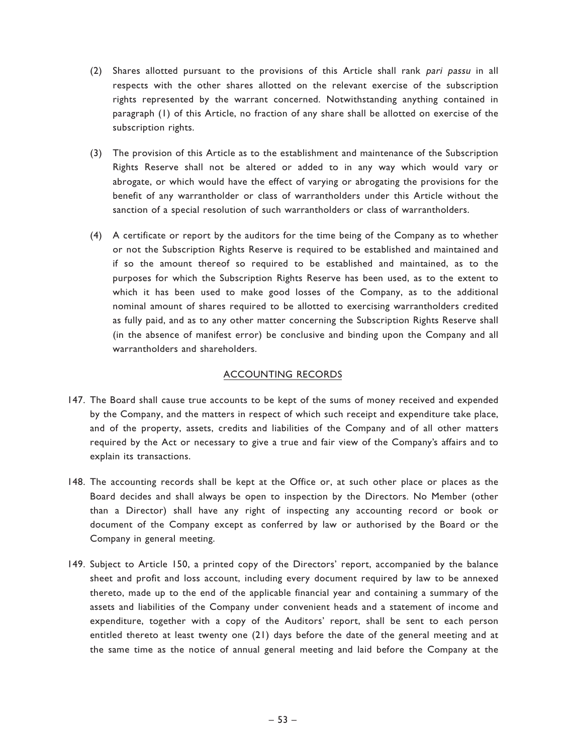- (2) Shares allotted pursuant to the provisions of this Article shall rank pari passu in all respects with the other shares allotted on the relevant exercise of the subscription rights represented by the warrant concerned. Notwithstanding anything contained in paragraph (1) of this Article, no fraction of any share shall be allotted on exercise of the subscription rights.
- (3) The provision of this Article as to the establishment and maintenance of the Subscription Rights Reserve shall not be altered or added to in any way which would vary or abrogate, or which would have the effect of varying or abrogating the provisions for the benefit of any warrantholder or class of warrantholders under this Article without the sanction of a special resolution of such warrantholders or class of warrantholders.
- (4) A certificate or report by the auditors for the time being of the Company as to whether or not the Subscription Rights Reserve is required to be established and maintained and if so the amount thereof so required to be established and maintained, as to the purposes for which the Subscription Rights Reserve has been used, as to the extent to which it has been used to make good losses of the Company, as to the additional nominal amount of shares required to be allotted to exercising warrantholders credited as fully paid, and as to any other matter concerning the Subscription Rights Reserve shall (in the absence of manifest error) be conclusive and binding upon the Company and all warrantholders and shareholders.

## ACCOUNTING RECORDS

- 147. The Board shall cause true accounts to be kept of the sums of money received and expended by the Company, and the matters in respect of which such receipt and expenditure take place, and of the property, assets, credits and liabilities of the Company and of all other matters required by the Act or necessary to give a true and fair view of the Company's affairs and to explain its transactions.
- 148. The accounting records shall be kept at the Office or, at such other place or places as the Board decides and shall always be open to inspection by the Directors. No Member (other than a Director) shall have any right of inspecting any accounting record or book or document of the Company except as conferred by law or authorised by the Board or the Company in general meeting.
- 149. Subject to Article 150, a printed copy of the Directors' report, accompanied by the balance sheet and profit and loss account, including every document required by law to be annexed thereto, made up to the end of the applicable financial year and containing a summary of the assets and liabilities of the Company under convenient heads and a statement of income and expenditure, together with a copy of the Auditors' report, shall be sent to each person entitled thereto at least twenty one (21) days before the date of the general meeting and at the same time as the notice of annual general meeting and laid before the Company at the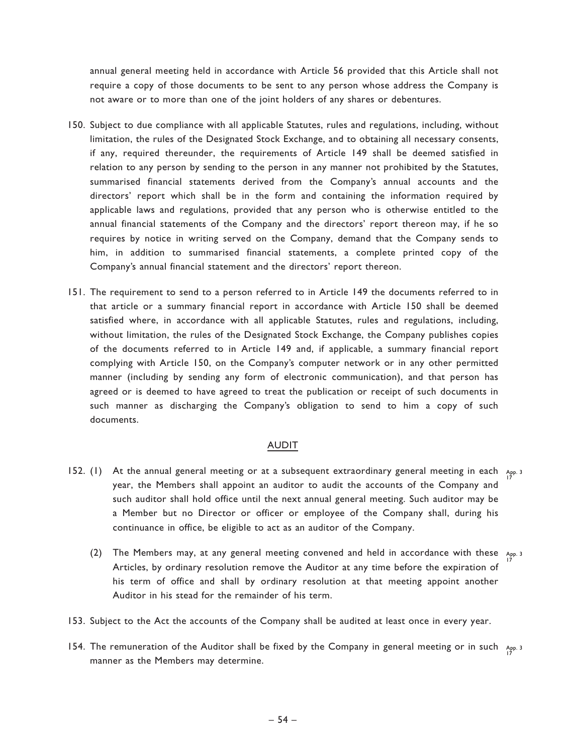annual general meeting held in accordance with Article 56 provided that this Article shall not require a copy of those documents to be sent to any person whose address the Company is not aware or to more than one of the joint holders of any shares or debentures.

- 150. Subject to due compliance with all applicable Statutes, rules and regulations, including, without limitation, the rules of the Designated Stock Exchange, and to obtaining all necessary consents, if any, required thereunder, the requirements of Article 149 shall be deemed satisfied in relation to any person by sending to the person in any manner not prohibited by the Statutes, summarised financial statements derived from the Company's annual accounts and the directors' report which shall be in the form and containing the information required by applicable laws and regulations, provided that any person who is otherwise entitled to the annual financial statements of the Company and the directors' report thereon may, if he so requires by notice in writing served on the Company, demand that the Company sends to him, in addition to summarised financial statements, a complete printed copy of the Company's annual financial statement and the directors' report thereon.
- 151. The requirement to send to a person referred to in Article 149 the documents referred to in that article or a summary financial report in accordance with Article 150 shall be deemed satisfied where, in accordance with all applicable Statutes, rules and regulations, including, without limitation, the rules of the Designated Stock Exchange, the Company publishes copies of the documents referred to in Article 149 and, if applicable, a summary financial report complying with Article 150, on the Company's computer network or in any other permitted manner (including by sending any form of electronic communication), and that person has agreed or is deemed to have agreed to treat the publication or receipt of such documents in such manner as discharging the Company's obligation to send to him a copy of such documents.

### **AUDIT**

- 152. (1) At the annual general meeting or at a subsequent extraordinary general meeting in each  $A_{PP}$  3 year, the Members shall appoint an auditor to audit the accounts of the Company and such auditor shall hold office until the next annual general meeting. Such auditor may be a Member but no Director or officer or employee of the Company shall, during his continuance in office, be eligible to act as an auditor of the Company.
	- (2) The Members may, at any general meeting convened and held in accordance with these  $_{A_{PP}}$ , 3 Articles, by ordinary resolution remove the Auditor at any time before the expiration of his term of office and shall by ordinary resolution at that meeting appoint another Auditor in his stead for the remainder of his term. 17
- 153. Subject to the Act the accounts of the Company shall be audited at least once in every year.
- 154. The remuneration of the Auditor shall be fixed by the Company in general meeting or in such  $A_{PP}$  3 manner as the Members may determine.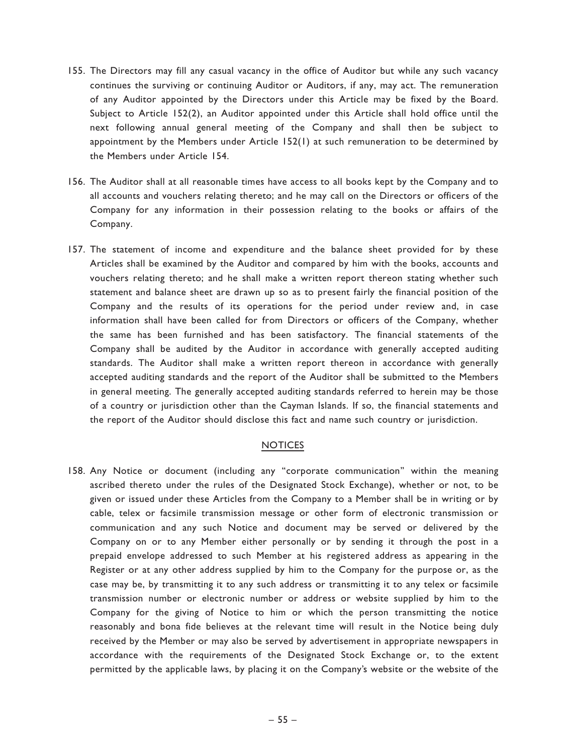- 155. The Directors may fill any casual vacancy in the office of Auditor but while any such vacancy continues the surviving or continuing Auditor or Auditors, if any, may act. The remuneration of any Auditor appointed by the Directors under this Article may be fixed by the Board. Subject to Article 152(2), an Auditor appointed under this Article shall hold office until the next following annual general meeting of the Company and shall then be subject to appointment by the Members under Article 152(1) at such remuneration to be determined by the Members under Article 154.
- 156. The Auditor shall at all reasonable times have access to all books kept by the Company and to all accounts and vouchers relating thereto; and he may call on the Directors or officers of the Company for any information in their possession relating to the books or affairs of the Company.
- 157. The statement of income and expenditure and the balance sheet provided for by these Articles shall be examined by the Auditor and compared by him with the books, accounts and vouchers relating thereto; and he shall make a written report thereon stating whether such statement and balance sheet are drawn up so as to present fairly the financial position of the Company and the results of its operations for the period under review and, in case information shall have been called for from Directors or officers of the Company, whether the same has been furnished and has been satisfactory. The financial statements of the Company shall be audited by the Auditor in accordance with generally accepted auditing standards. The Auditor shall make a written report thereon in accordance with generally accepted auditing standards and the report of the Auditor shall be submitted to the Members in general meeting. The generally accepted auditing standards referred to herein may be those of a country or jurisdiction other than the Cayman Islands. If so, the financial statements and the report of the Auditor should disclose this fact and name such country or jurisdiction.

## NOTICES

158. Any Notice or document (including any ''corporate communication'' within the meaning ascribed thereto under the rules of the Designated Stock Exchange), whether or not, to be given or issued under these Articles from the Company to a Member shall be in writing or by cable, telex or facsimile transmission message or other form of electronic transmission or communication and any such Notice and document may be served or delivered by the Company on or to any Member either personally or by sending it through the post in a prepaid envelope addressed to such Member at his registered address as appearing in the Register or at any other address supplied by him to the Company for the purpose or, as the case may be, by transmitting it to any such address or transmitting it to any telex or facsimile transmission number or electronic number or address or website supplied by him to the Company for the giving of Notice to him or which the person transmitting the notice reasonably and bona fide believes at the relevant time will result in the Notice being duly received by the Member or may also be served by advertisement in appropriate newspapers in accordance with the requirements of the Designated Stock Exchange or, to the extent permitted by the applicable laws, by placing it on the Company's website or the website of the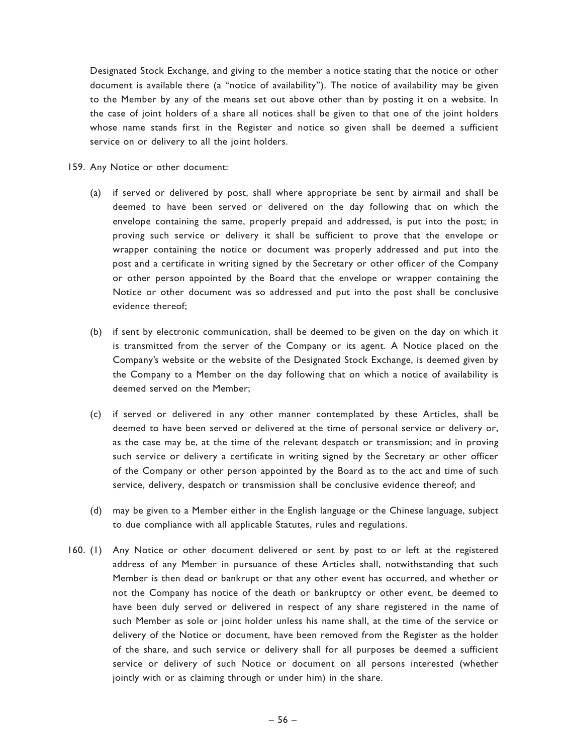Designated Stock Exchange, and giving to the member a notice stating that the notice or other document is available there (a ''notice of availability''). The notice of availability may be given to the Member by any of the means set out above other than by posting it on a website. In the case of joint holders of a share all notices shall be given to that one of the joint holders whose name stands first in the Register and notice so given shall be deemed a sufficient service on or delivery to all the joint holders.

- 159. Any Notice or other document:
	- (a) if served or delivered by post, shall where appropriate be sent by airmail and shall be deemed to have been served or delivered on the day following that on which the envelope containing the same, properly prepaid and addressed, is put into the post; in proving such service or delivery it shall be sufficient to prove that the envelope or wrapper containing the notice or document was properly addressed and put into the post and a certificate in writing signed by the Secretary or other officer of the Company or other person appointed by the Board that the envelope or wrapper containing the Notice or other document was so addressed and put into the post shall be conclusive evidence thereof;
	- (b) if sent by electronic communication, shall be deemed to be given on the day on which it is transmitted from the server of the Company or its agent. A Notice placed on the Company's website or the website of the Designated Stock Exchange, is deemed given by the Company to a Member on the day following that on which a notice of availability is deemed served on the Member;
	- (c) if served or delivered in any other manner contemplated by these Articles, shall be deemed to have been served or delivered at the time of personal service or delivery or, as the case may be, at the time of the relevant despatch or transmission; and in proving such service or delivery a certificate in writing signed by the Secretary or other officer of the Company or other person appointed by the Board as to the act and time of such service, delivery, despatch or transmission shall be conclusive evidence thereof; and
	- (d) may be given to a Member either in the English language or the Chinese language, subject to due compliance with all applicable Statutes, rules and regulations.
- 160. (1) Any Notice or other document delivered or sent by post to or left at the registered address of any Member in pursuance of these Articles shall, notwithstanding that such Member is then dead or bankrupt or that any other event has occurred, and whether or not the Company has notice of the death or bankruptcy or other event, be deemed to have been duly served or delivered in respect of any share registered in the name of such Member as sole or joint holder unless his name shall, at the time of the service or delivery of the Notice or document, have been removed from the Register as the holder of the share, and such service or delivery shall for all purposes be deemed a sufficient service or delivery of such Notice or document on all persons interested (whether jointly with or as claiming through or under him) in the share.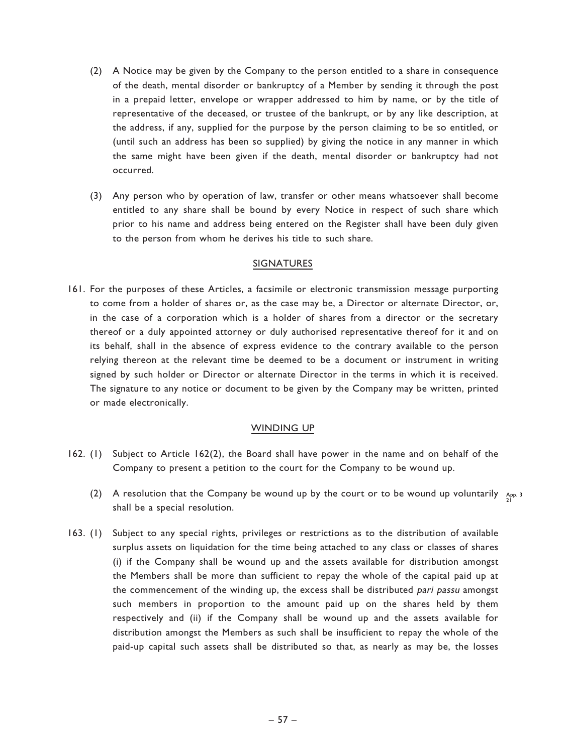- (2) A Notice may be given by the Company to the person entitled to a share in consequence of the death, mental disorder or bankruptcy of a Member by sending it through the post in a prepaid letter, envelope or wrapper addressed to him by name, or by the title of representative of the deceased, or trustee of the bankrupt, or by any like description, at the address, if any, supplied for the purpose by the person claiming to be so entitled, or (until such an address has been so supplied) by giving the notice in any manner in which the same might have been given if the death, mental disorder or bankruptcy had not occurred.
- (3) Any person who by operation of law, transfer or other means whatsoever shall become entitled to any share shall be bound by every Notice in respect of such share which prior to his name and address being entered on the Register shall have been duly given to the person from whom he derives his title to such share.

#### SIGNATURES

161. For the purposes of these Articles, a facsimile or electronic transmission message purporting to come from a holder of shares or, as the case may be, a Director or alternate Director, or, in the case of a corporation which is a holder of shares from a director or the secretary thereof or a duly appointed attorney or duly authorised representative thereof for it and on its behalf, shall in the absence of express evidence to the contrary available to the person relying thereon at the relevant time be deemed to be a document or instrument in writing signed by such holder or Director or alternate Director in the terms in which it is received. The signature to any notice or document to be given by the Company may be written, printed or made electronically.

### WINDING UP

- 162. (1) Subject to Article 162(2), the Board shall have power in the name and on behalf of the Company to present a petition to the court for the Company to be wound up.
	- (2) A resolution that the Company be wound up by the court or to be wound up voluntarily  $\frac{A_{\text{PP}}}{21}$ . shall be a special resolution.
- 163. (1) Subject to any special rights, privileges or restrictions as to the distribution of available surplus assets on liquidation for the time being attached to any class or classes of shares (i) if the Company shall be wound up and the assets available for distribution amongst the Members shall be more than sufficient to repay the whole of the capital paid up at the commencement of the winding up, the excess shall be distributed pari passu amongst such members in proportion to the amount paid up on the shares held by them respectively and (ii) if the Company shall be wound up and the assets available for distribution amongst the Members as such shall be insufficient to repay the whole of the paid-up capital such assets shall be distributed so that, as nearly as may be, the losses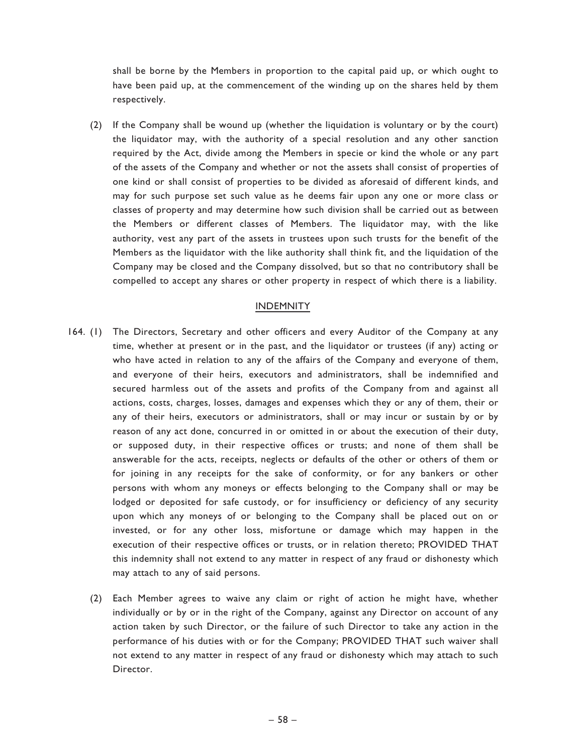shall be borne by the Members in proportion to the capital paid up, or which ought to have been paid up, at the commencement of the winding up on the shares held by them respectively.

(2) If the Company shall be wound up (whether the liquidation is voluntary or by the court) the liquidator may, with the authority of a special resolution and any other sanction required by the Act, divide among the Members in specie or kind the whole or any part of the assets of the Company and whether or not the assets shall consist of properties of one kind or shall consist of properties to be divided as aforesaid of different kinds, and may for such purpose set such value as he deems fair upon any one or more class or classes of property and may determine how such division shall be carried out as between the Members or different classes of Members. The liquidator may, with the like authority, vest any part of the assets in trustees upon such trusts for the benefit of the Members as the liquidator with the like authority shall think fit, and the liquidation of the Company may be closed and the Company dissolved, but so that no contributory shall be compelled to accept any shares or other property in respect of which there is a liability.

### INDEMNITY

- 164. (1) The Directors, Secretary and other officers and every Auditor of the Company at any time, whether at present or in the past, and the liquidator or trustees (if any) acting or who have acted in relation to any of the affairs of the Company and everyone of them, and everyone of their heirs, executors and administrators, shall be indemnified and secured harmless out of the assets and profits of the Company from and against all actions, costs, charges, losses, damages and expenses which they or any of them, their or any of their heirs, executors or administrators, shall or may incur or sustain by or by reason of any act done, concurred in or omitted in or about the execution of their duty, or supposed duty, in their respective offices or trusts; and none of them shall be answerable for the acts, receipts, neglects or defaults of the other or others of them or for joining in any receipts for the sake of conformity, or for any bankers or other persons with whom any moneys or effects belonging to the Company shall or may be lodged or deposited for safe custody, or for insufficiency or deficiency of any security upon which any moneys of or belonging to the Company shall be placed out on or invested, or for any other loss, misfortune or damage which may happen in the execution of their respective offices or trusts, or in relation thereto; PROVIDED THAT this indemnity shall not extend to any matter in respect of any fraud or dishonesty which may attach to any of said persons.
	- (2) Each Member agrees to waive any claim or right of action he might have, whether individually or by or in the right of the Company, against any Director on account of any action taken by such Director, or the failure of such Director to take any action in the performance of his duties with or for the Company; PROVIDED THAT such waiver shall not extend to any matter in respect of any fraud or dishonesty which may attach to such Director.